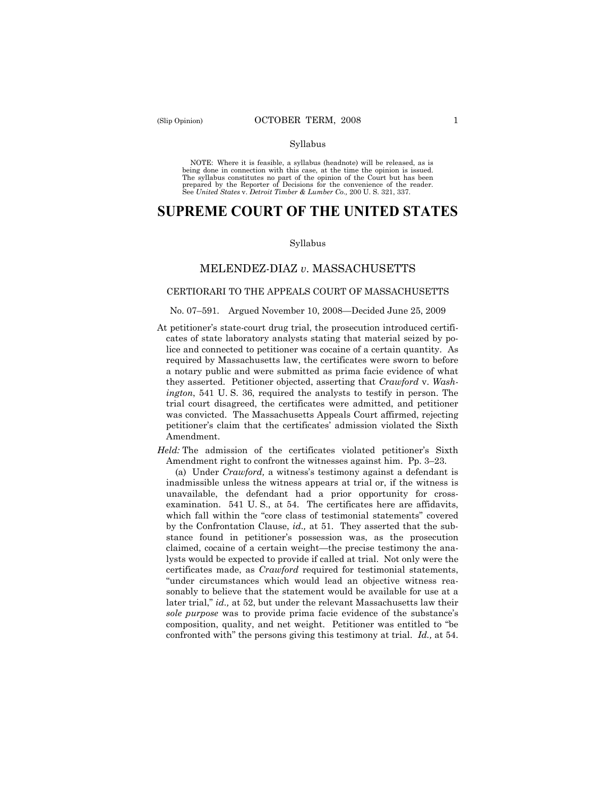#### Syllabus

NOTE: Where it is feasible, a syllabus (headnote) will be released, as is being done in connection with this case, at the time the opinion is issued. The syllabus constitutes no part of the opinion of the Court but has been<br>prepared by the Reporter of Decisions for the convenience of the reader.<br>See United States v. Detroit Timber & Lumber Co., 200 U. S. 321, 337.

# **SUPREME COURT OF THE UNITED STATES**

#### Syllabus

## MELENDEZ-DIAZ *v*. MASSACHUSETTS

#### CERTIORARI TO THE APPEALS COURT OF MASSACHUSETTS

## No. 07–591. Argued November 10, 2008—Decided June 25, 2009

- At petitioner's state-court drug trial, the prosecution introduced certificates of state laboratory analysts stating that material seized by police and connected to petitioner was cocaine of a certain quantity. As required by Massachusetts law, the certificates were sworn to before a notary public and were submitted as prima facie evidence of what they asserted. Petitioner objected, asserting that *Crawford* v. *Washington*, 541 U. S. 36, required the analysts to testify in person. The trial court disagreed, the certificates were admitted, and petitioner was convicted. The Massachusetts Appeals Court affirmed, rejecting petitioner's claim that the certificates' admission violated the Sixth Amendment.
- *Held:* The admission of the certificates violated petitioner's Sixth Amendment right to confront the witnesses against him. Pp. 3–23.

(a) Under *Crawford,* a witness's testimony against a defendant is inadmissible unless the witness appears at trial or, if the witness is unavailable, the defendant had a prior opportunity for crossexamination. 541 U. S., at 54. The certificates here are affidavits, which fall within the "core class of testimonial statements" covered by the Confrontation Clause, *id.,* at 51. They asserted that the substance found in petitioner's possession was, as the prosecution claimed, cocaine of a certain weight—the precise testimony the analysts would be expected to provide if called at trial. Not only were the certificates made, as *Crawford* required for testimonial statements, "under circumstances which would lead an objective witness reasonably to believe that the statement would be available for use at a later trial," *id.,* at 52, but under the relevant Massachusetts law their *sole purpose* was to provide prima facie evidence of the substance's composition, quality, and net weight. Petitioner was entitled to "be confronted with" the persons giving this testimony at trial. *Id.,* at 54.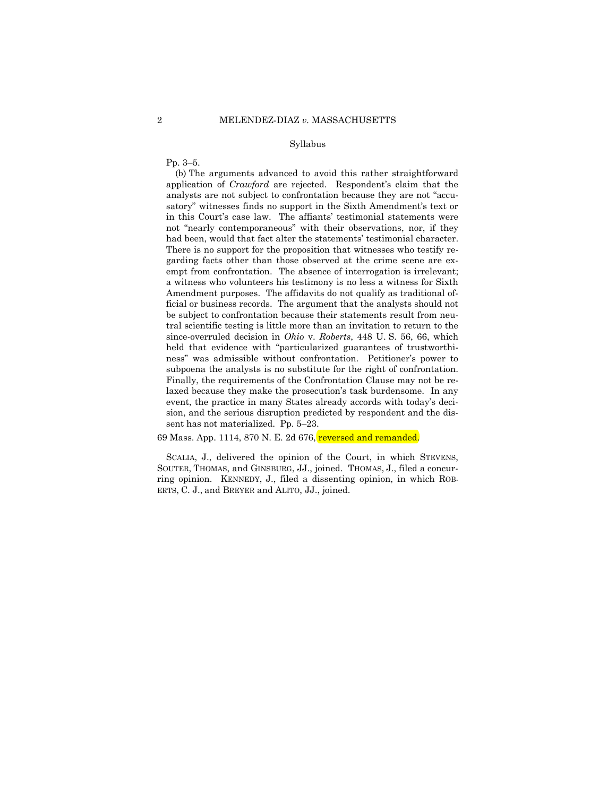## Syllabus

Pp. 3–5.

(b) The arguments advanced to avoid this rather straightforward application of *Crawford* are rejected. Respondent's claim that the analysts are not subject to confrontation because they are not "accusatory" witnesses finds no support in the Sixth Amendment's text or in this Court's case law. The affiants' testimonial statements were not "nearly contemporaneous" with their observations, nor, if they had been, would that fact alter the statements' testimonial character. There is no support for the proposition that witnesses who testify regarding facts other than those observed at the crime scene are exempt from confrontation. The absence of interrogation is irrelevant; a witness who volunteers his testimony is no less a witness for Sixth Amendment purposes. The affidavits do not qualify as traditional official or business records. The argument that the analysts should not be subject to confrontation because their statements result from neutral scientific testing is little more than an invitation to return to the since-overruled decision in *Ohio* v. *Roberts*, 448 U. S. 56, 66, which held that evidence with "particularized guarantees of trustworthiness" was admissible without confrontation. Petitioner's power to subpoena the analysts is no substitute for the right of confrontation. Finally, the requirements of the Confrontation Clause may not be relaxed because they make the prosecution's task burdensome. In any event, the practice in many States already accords with today's decision, and the serious disruption predicted by respondent and the dissent has not materialized. Pp. 5–23.

69 Mass. App. 1114, 870 N. E. 2d 676, reversed and remanded.

SCALIA, J., delivered the opinion of the Court, in which STEVENS, SOUTER, THOMAS, and GINSBURG, JJ., joined. THOMAS, J., filed a concurring opinion. KENNEDY, J., filed a dissenting opinion, in which ROB-ERTS, C. J., and BREYER and ALITO, JJ., joined.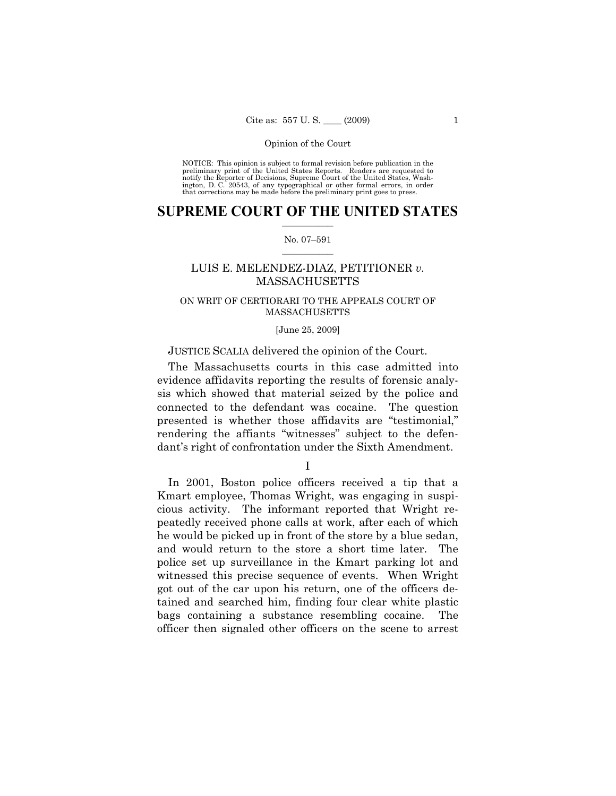NOTICE: This opinion is subject to formal revision before publication in the preliminary print of the United States Reports. Readers are requested to notify the Reporter of Decisions, Supreme Court of the United States, Washington, D. C. 20543, of any typographical or other formal errors, in order that corrections may be made before the preliminary print goes to press.

## $\frac{1}{2}$  ,  $\frac{1}{2}$  ,  $\frac{1}{2}$  ,  $\frac{1}{2}$  ,  $\frac{1}{2}$  ,  $\frac{1}{2}$  ,  $\frac{1}{2}$ **SUPREME COURT OF THE UNITED STATES**

## $\frac{1}{2}$  ,  $\frac{1}{2}$  ,  $\frac{1}{2}$  ,  $\frac{1}{2}$  ,  $\frac{1}{2}$  ,  $\frac{1}{2}$ No. 07–591

## LUIS E. MELENDEZ-DIAZ, PETITIONER *v.* **MASSACHUSETTS**

## ON WRIT OF CERTIORARI TO THE APPEALS COURT OF MASSACHUSETTS

## [June 25, 2009]

## JUSTICE SCALIA delivered the opinion of the Court.

The Massachusetts courts in this case admitted into evidence affidavits reporting the results of forensic analysis which showed that material seized by the police and connected to the defendant was cocaine. The question presented is whether those affidavits are "testimonial," rendering the affiants "witnesses" subject to the defendant's right of confrontation under the Sixth Amendment.

I

In 2001, Boston police officers received a tip that a Kmart employee, Thomas Wright, was engaging in suspicious activity. The informant reported that Wright repeatedly received phone calls at work, after each of which he would be picked up in front of the store by a blue sedan, and would return to the store a short time later. The police set up surveillance in the Kmart parking lot and witnessed this precise sequence of events. When Wright got out of the car upon his return, one of the officers detained and searched him, finding four clear white plastic bags containing a substance resembling cocaine. The officer then signaled other officers on the scene to arrest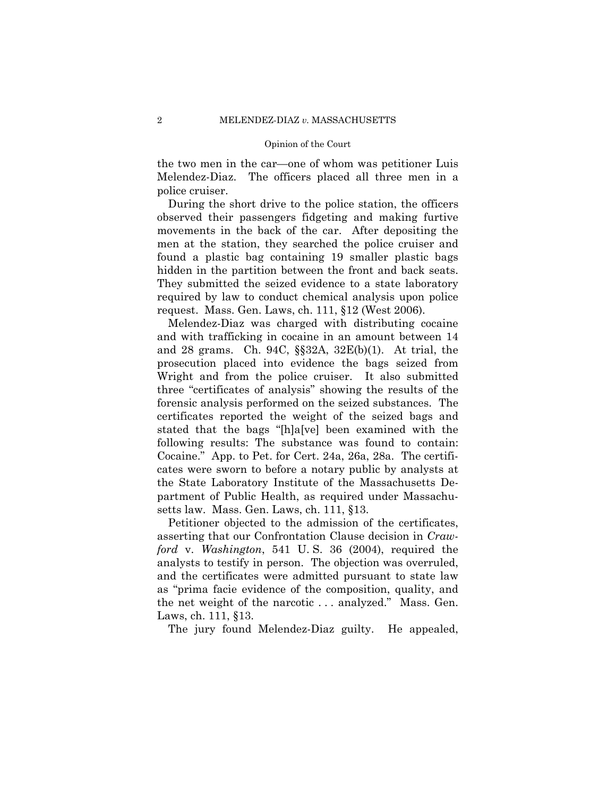the two men in the car—one of whom was petitioner Luis Melendez-Diaz. The officers placed all three men in a police cruiser.

During the short drive to the police station, the officers observed their passengers fidgeting and making furtive movements in the back of the car. After depositing the men at the station, they searched the police cruiser and found a plastic bag containing 19 smaller plastic bags hidden in the partition between the front and back seats. They submitted the seized evidence to a state laboratory required by law to conduct chemical analysis upon police request. Mass. Gen. Laws, ch. 111, §12 (West 2006).

Melendez-Diaz was charged with distributing cocaine and with trafficking in cocaine in an amount between 14 and 28 grams. Ch. 94C, §§32A, 32E(b)(1). At trial, the prosecution placed into evidence the bags seized from Wright and from the police cruiser. It also submitted three "certificates of analysis" showing the results of the forensic analysis performed on the seized substances. The certificates reported the weight of the seized bags and stated that the bags "[h]a[ve] been examined with the following results: The substance was found to contain: Cocaine." App. to Pet. for Cert. 24a, 26a, 28a. The certificates were sworn to before a notary public by analysts at the State Laboratory Institute of the Massachusetts Department of Public Health, as required under Massachusetts law. Mass. Gen. Laws, ch. 111, §13.

Petitioner objected to the admission of the certificates, asserting that our Confrontation Clause decision in *Crawford* v. *Washington*, 541 U. S. 36 (2004), required the analysts to testify in person. The objection was overruled, and the certificates were admitted pursuant to state law as "prima facie evidence of the composition, quality, and the net weight of the narcotic . . . analyzed." Mass. Gen. Laws, ch. 111, §13.

The jury found Melendez-Diaz guilty. He appealed,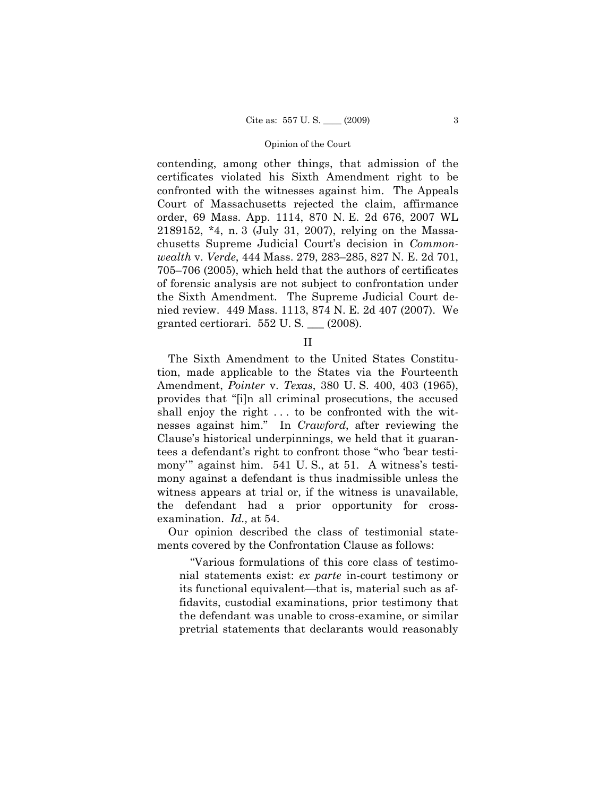contending, among other things, that admission of the certificates violated his Sixth Amendment right to be confronted with the witnesses against him. The Appeals Court of Massachusetts rejected the claim, affirmance order, 69 Mass. App. 1114, 870 N. E. 2d 676, 2007 WL 2189152, \*4, n. 3 (July 31, 2007), relying on the Massachusetts Supreme Judicial Court's decision in *Commonwealth* v. *Verde*, 444 Mass. 279, 283–285, 827 N. E. 2d 701, 705–706 (2005), which held that the authors of certificates of forensic analysis are not subject to confrontation under the Sixth Amendment. The Supreme Judicial Court denied review. 449 Mass. 1113, 874 N. E. 2d 407 (2007). We granted certiorari. 552 U. S. \_\_\_ (2008).

II

The Sixth Amendment to the United States Constitution, made applicable to the States via the Fourteenth Amendment, *Pointer* v. *Texas*, 380 U. S. 400, 403 (1965), provides that "[i]n all criminal prosecutions, the accused shall enjoy the right ... to be confronted with the witnesses against him." In *Crawford*, after reviewing the Clause's historical underpinnings, we held that it guarantees a defendant's right to confront those "who 'bear testimony'" against him. 541 U. S., at 51. A witness's testimony against a defendant is thus inadmissible unless the witness appears at trial or, if the witness is unavailable, the defendant had a prior opportunity for crossexamination. *Id.,* at 54.

Our opinion described the class of testimonial statements covered by the Confrontation Clause as follows:

"Various formulations of this core class of testimonial statements exist: *ex parte* in-court testimony or its functional equivalent—that is, material such as affidavits, custodial examinations, prior testimony that the defendant was unable to cross-examine, or similar pretrial statements that declarants would reasonably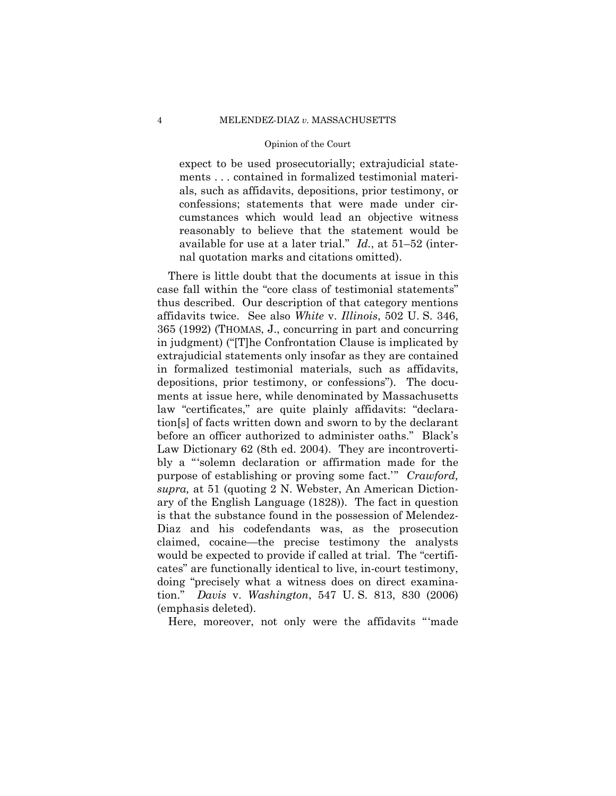expect to be used prosecutorially; extrajudicial statements . . . contained in formalized testimonial materials, such as affidavits, depositions, prior testimony, or confessions; statements that were made under circumstances which would lead an objective witness reasonably to believe that the statement would be available for use at a later trial." *Id.*, at 51–52 (internal quotation marks and citations omitted).

There is little doubt that the documents at issue in this case fall within the "core class of testimonial statements" thus described. Our description of that category mentions affidavits twice. See also *White* v. *Illinois*, 502 U. S. 346, 365 (1992) (THOMAS, J., concurring in part and concurring in judgment) ("[T]he Confrontation Clause is implicated by extrajudicial statements only insofar as they are contained in formalized testimonial materials, such as affidavits, depositions, prior testimony, or confessions"). The documents at issue here, while denominated by Massachusetts law "certificates," are quite plainly affidavits: "declaration[s] of facts written down and sworn to by the declarant before an officer authorized to administer oaths." Black's Law Dictionary 62 (8th ed. 2004). They are incontrovertibly a "'solemn declaration or affirmation made for the purpose of establishing or proving some fact.'" *Crawford, supra,* at 51 (quoting 2 N. Webster, An American Dictionary of the English Language (1828)). The fact in question is that the substance found in the possession of Melendez-Diaz and his codefendants was, as the prosecution claimed, cocaine—the precise testimony the analysts would be expected to provide if called at trial. The "certificates" are functionally identical to live, in-court testimony, doing "precisely what a witness does on direct examination." *Davis* v. *Washington*, 547 U. S. 813, 830 (2006) (emphasis deleted).

Here, moreover, not only were the affidavits "'made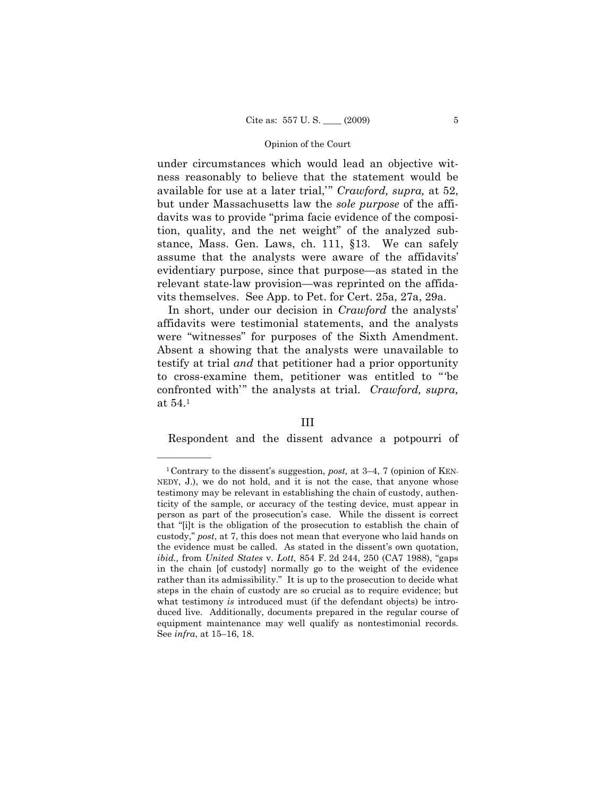under circumstances which would lead an objective witness reasonably to believe that the statement would be available for use at a later trial,'" *Crawford, supra,* at 52, but under Massachusetts law the *sole purpose* of the affidavits was to provide "prima facie evidence of the composition, quality, and the net weight" of the analyzed substance, Mass. Gen. Laws, ch. 111, §13. We can safely assume that the analysts were aware of the affidavits' evidentiary purpose, since that purpose—as stated in the relevant state-law provision—was reprinted on the affidavits themselves. See App. to Pet. for Cert. 25a, 27a, 29a.

In short, under our decision in *Crawford* the analysts' affidavits were testimonial statements, and the analysts were "witnesses" for purposes of the Sixth Amendment. Absent a showing that the analysts were unavailable to testify at trial *and* that petitioner had a prior opportunity to cross-examine them, petitioner was entitled to "'be confronted with'" the analysts at trial. *Crawford, supra,*  at 54.1

## III

——————

Respondent and the dissent advance a potpourri of

<sup>1</sup>Contrary to the dissent's suggestion, *post,* at 3–4, 7 (opinion of KEN-NEDY, J.), we do not hold, and it is not the case, that anyone whose testimony may be relevant in establishing the chain of custody, authenticity of the sample, or accuracy of the testing device, must appear in person as part of the prosecution's case. While the dissent is correct that "[i]t is the obligation of the prosecution to establish the chain of custody," *post*, at 7, this does not mean that everyone who laid hands on the evidence must be called. As stated in the dissent's own quotation, *ibid.,* from *United States* v. *Lott,* 854 F. 2d 244, 250 (CA7 1988), "gaps in the chain [of custody] normally go to the weight of the evidence rather than its admissibility." It is up to the prosecution to decide what steps in the chain of custody are so crucial as to require evidence; but what testimony *is* introduced must (if the defendant objects) be introduced live. Additionally, documents prepared in the regular course of equipment maintenance may well qualify as nontestimonial records. See *infra*, at 15–16, 18.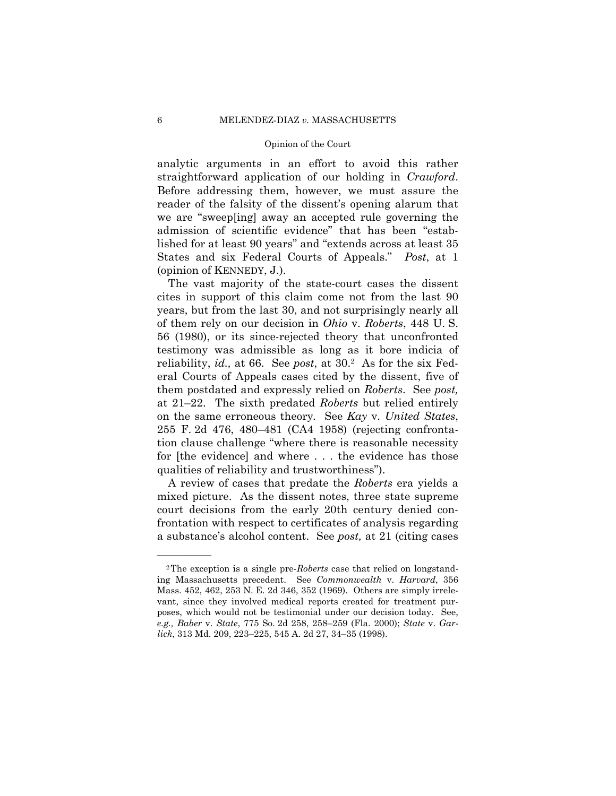analytic arguments in an effort to avoid this rather straightforward application of our holding in *Crawford*. Before addressing them, however, we must assure the reader of the falsity of the dissent's opening alarum that we are "sweep[ing] away an accepted rule governing the admission of scientific evidence" that has been "established for at least 90 years" and "extends across at least 35 States and six Federal Courts of Appeals." *Post*, at 1 (opinion of KENNEDY, J.).

The vast majority of the state-court cases the dissent cites in support of this claim come not from the last 90 years, but from the last 30, and not surprisingly nearly all of them rely on our decision in *Ohio* v. *Roberts*, 448 U. S. 56 (1980), or its since-rejected theory that unconfronted testimony was admissible as long as it bore indicia of reliability, *id.,* at 66. See *post*, at 30.2 As for the six Federal Courts of Appeals cases cited by the dissent, five of them postdated and expressly relied on *Roberts*. See *post,* at 21–22. The sixth predated *Roberts* but relied entirely on the same erroneous theory*.* See *Kay* v. *United States*, 255 F. 2d 476, 480–481 (CA4 1958) (rejecting confrontation clause challenge "where there is reasonable necessity for [the evidence] and where . . . the evidence has those qualities of reliability and trustworthiness").

A review of cases that predate the *Roberts* era yields a mixed picture. As the dissent notes, three state supreme court decisions from the early 20th century denied confrontation with respect to certificates of analysis regarding a substance's alcohol content. See *post,* at 21 (citing cases

<sup>2</sup>The exception is a single pre-*Roberts* case that relied on longstanding Massachusetts precedent. See *Commonwealth* v. *Harvard*, 356 Mass. 452, 462, 253 N. E. 2d 346, 352 (1969). Others are simply irrelevant, since they involved medical reports created for treatment purposes, which would not be testimonial under our decision today. See, *e.g., Baber* v. *State*, 775 So. 2d 258, 258–259 (Fla. 2000); *State* v. *Garlick*, 313 Md. 209, 223–225, 545 A. 2d 27, 34–35 (1998).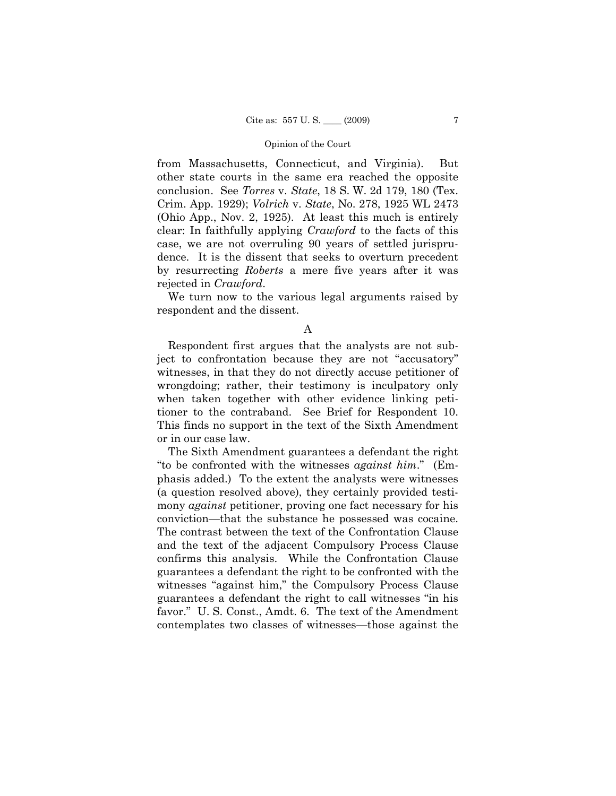from Massachusetts, Connecticut, and Virginia). But other state courts in the same era reached the opposite conclusion. See *Torres* v. *State*, 18 S. W. 2d 179, 180 (Tex. Crim. App. 1929); *Volrich* v. *State*, No. 278, 1925 WL 2473 (Ohio App., Nov. 2, 1925). At least this much is entirely clear: In faithfully applying *Crawford* to the facts of this case, we are not overruling 90 years of settled jurisprudence. It is the dissent that seeks to overturn precedent by resurrecting *Roberts* a mere five years after it was rejected in *Crawford*.

We turn now to the various legal arguments raised by respondent and the dissent.

A

Respondent first argues that the analysts are not subject to confrontation because they are not "accusatory" witnesses, in that they do not directly accuse petitioner of wrongdoing; rather, their testimony is inculpatory only when taken together with other evidence linking petitioner to the contraband. See Brief for Respondent 10. This finds no support in the text of the Sixth Amendment or in our case law.

The Sixth Amendment guarantees a defendant the right "to be confronted with the witnesses *against him*." (Emphasis added.) To the extent the analysts were witnesses (a question resolved above), they certainly provided testimony *against* petitioner, proving one fact necessary for his conviction—that the substance he possessed was cocaine. The contrast between the text of the Confrontation Clause and the text of the adjacent Compulsory Process Clause confirms this analysis. While the Confrontation Clause guarantees a defendant the right to be confronted with the witnesses "against him," the Compulsory Process Clause guarantees a defendant the right to call witnesses "in his favor." U. S. Const., Amdt. 6. The text of the Amendment contemplates two classes of witnesses—those against the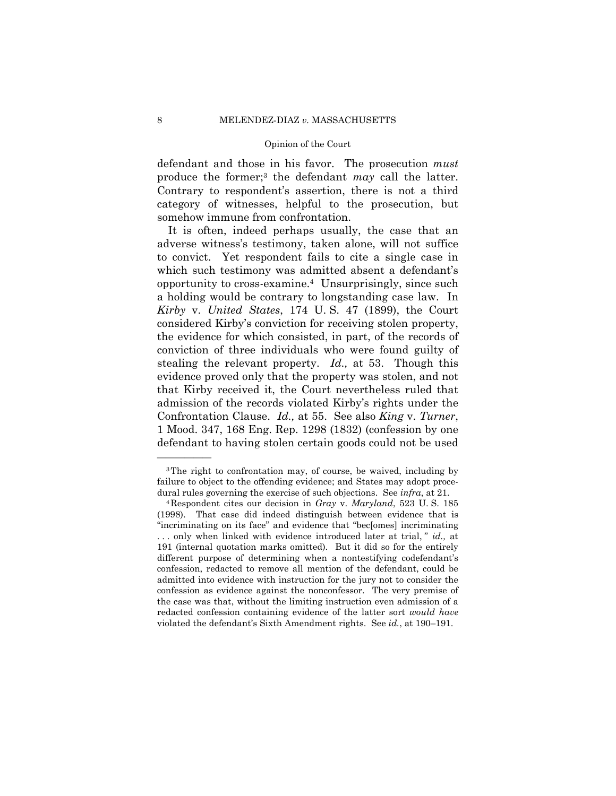defendant and those in his favor. The prosecution *must*  produce the former;3 the defendant *may* call the latter. Contrary to respondent's assertion, there is not a third category of witnesses, helpful to the prosecution, but somehow immune from confrontation.

It is often, indeed perhaps usually, the case that an adverse witness's testimony, taken alone, will not suffice to convict. Yet respondent fails to cite a single case in which such testimony was admitted absent a defendant's opportunity to cross-examine.4 Unsurprisingly, since such a holding would be contrary to longstanding case law. In *Kirby* v. *United States*, 174 U. S. 47 (1899), the Court considered Kirby's conviction for receiving stolen property, the evidence for which consisted, in part, of the records of conviction of three individuals who were found guilty of stealing the relevant property. *Id.,* at 53. Though this evidence proved only that the property was stolen, and not that Kirby received it, the Court nevertheless ruled that admission of the records violated Kirby's rights under the Confrontation Clause. *Id.,* at 55. See also *King* v. *Turner*, 1 Mood. 347, 168 Eng. Rep. 1298 (1832) (confession by one defendant to having stolen certain goods could not be used

<sup>3</sup>The right to confrontation may, of course, be waived, including by failure to object to the offending evidence; and States may adopt proce-

dural rules governing the exercise of such objections. See *infra*, at 21. 4Respondent cites our decision in *Gray* v. *Maryland*, 523 U. S. 185 (1998). That case did indeed distinguish between evidence that is "incriminating on its face" and evidence that "bec[omes] incriminating

<sup>. . .</sup> only when linked with evidence introduced later at trial, " *id.,* at 191 (internal quotation marks omitted). But it did so for the entirely different purpose of determining when a nontestifying codefendant's confession, redacted to remove all mention of the defendant, could be admitted into evidence with instruction for the jury not to consider the confession as evidence against the nonconfessor. The very premise of the case was that, without the limiting instruction even admission of a redacted confession containing evidence of the latter sort *would have*  violated the defendant's Sixth Amendment rights. See *id.*, at 190–191.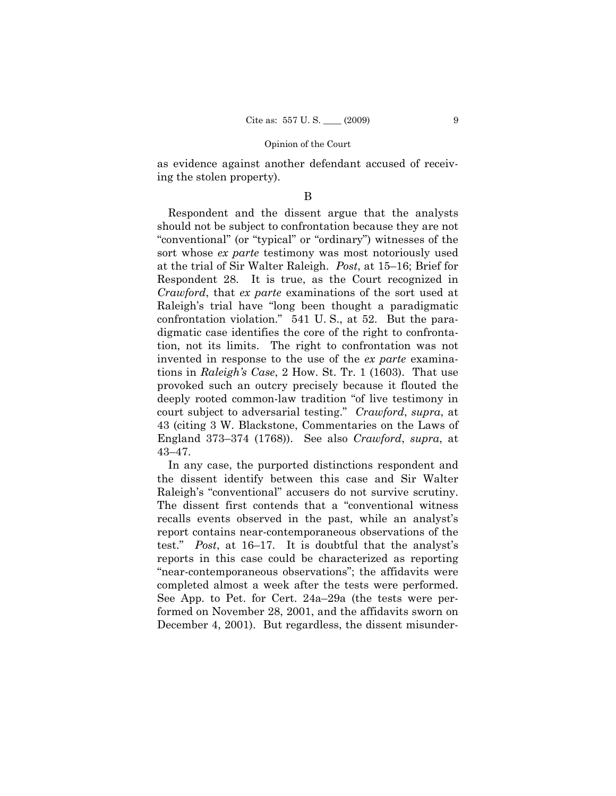as evidence against another defendant accused of receiving the stolen property).

## B

Respondent and the dissent argue that the analysts should not be subject to confrontation because they are not "conventional" (or "typical" or "ordinary") witnesses of the sort whose *ex parte* testimony was most notoriously used at the trial of Sir Walter Raleigh. *Post*, at 15–16; Brief for Respondent 28. It is true, as the Court recognized in *Crawford*, that *ex parte* examinations of the sort used at Raleigh's trial have "long been thought a paradigmatic confrontation violation." 541 U. S., at 52. But the paradigmatic case identifies the core of the right to confrontation, not its limits. The right to confrontation was not invented in response to the use of the *ex parte* examinations in *Raleigh's Case*, 2 How. St. Tr. 1 (1603). That use provoked such an outcry precisely because it flouted the deeply rooted common-law tradition "of live testimony in court subject to adversarial testing." *Crawford*, *supra*, at 43 (citing 3 W. Blackstone, Commentaries on the Laws of England 373–374 (1768)). See also *Crawford*, *supra*, at 43–47.

In any case, the purported distinctions respondent and the dissent identify between this case and Sir Walter Raleigh's "conventional" accusers do not survive scrutiny. The dissent first contends that a "conventional witness recalls events observed in the past, while an analyst's report contains near-contemporaneous observations of the test." *Post*, at 16–17. It is doubtful that the analyst's reports in this case could be characterized as reporting "near-contemporaneous observations"; the affidavits were completed almost a week after the tests were performed. See App. to Pet. for Cert. 24a–29a (the tests were performed on November 28, 2001, and the affidavits sworn on December 4, 2001). But regardless, the dissent misunder-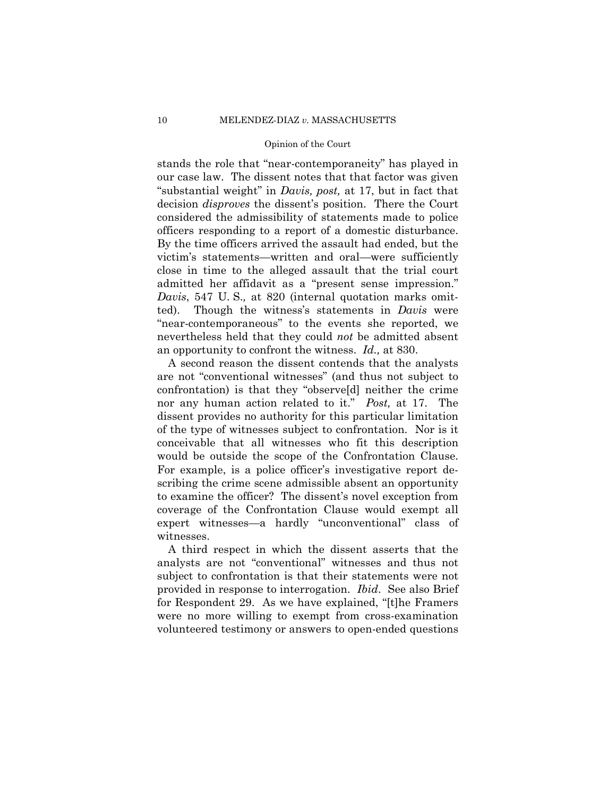stands the role that "near-contemporaneity" has played in our case law. The dissent notes that that factor was given "substantial weight" in *Davis, post,* at 17, but in fact that decision *disproves* the dissent's position. There the Court considered the admissibility of statements made to police officers responding to a report of a domestic disturbance. By the time officers arrived the assault had ended, but the victim's statements—written and oral—were sufficiently close in time to the alleged assault that the trial court admitted her affidavit as a "present sense impression." *Davis*, 547 U. S.*,* at 820 (internal quotation marks omitted). Though the witness's statements in *Davis* were "near-contemporaneous" to the events she reported, we nevertheless held that they could *not* be admitted absent an opportunity to confront the witness. *Id.,* at 830.

A second reason the dissent contends that the analysts are not "conventional witnesses" (and thus not subject to confrontation) is that they "observe[d] neither the crime nor any human action related to it." *Post,* at 17. The dissent provides no authority for this particular limitation of the type of witnesses subject to confrontation. Nor is it conceivable that all witnesses who fit this description would be outside the scope of the Confrontation Clause. For example, is a police officer's investigative report describing the crime scene admissible absent an opportunity to examine the officer? The dissent's novel exception from coverage of the Confrontation Clause would exempt all expert witnesses—a hardly "unconventional" class of witnesses.

A third respect in which the dissent asserts that the analysts are not "conventional" witnesses and thus not subject to confrontation is that their statements were not provided in response to interrogation. *Ibid*. See also Brief for Respondent 29. As we have explained, "[t]he Framers were no more willing to exempt from cross-examination volunteered testimony or answers to open-ended questions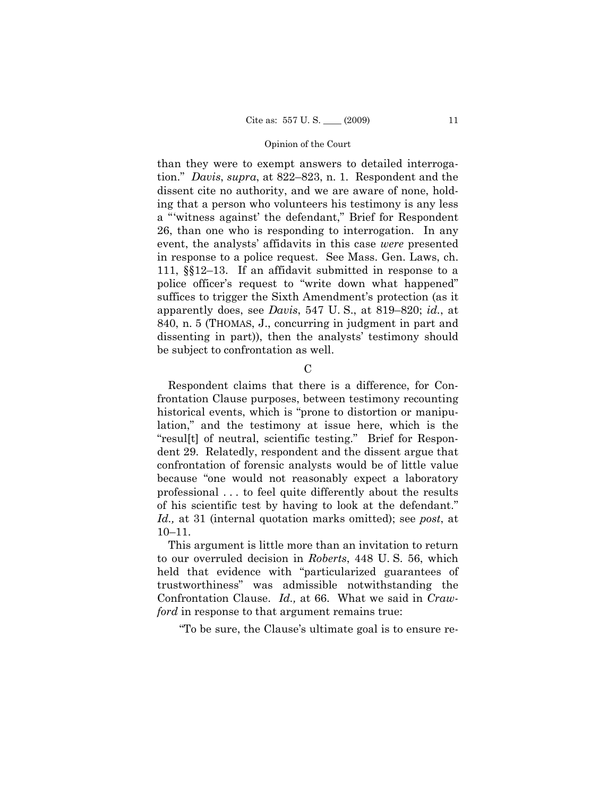than they were to exempt answers to detailed interrogation." *Davis*, *supra*, at 822–823, n. 1. Respondent and the dissent cite no authority, and we are aware of none, holding that a person who volunteers his testimony is any less a "'witness against' the defendant," Brief for Respondent 26, than one who is responding to interrogation. In any event, the analysts' affidavits in this case *were* presented in response to a police request. See Mass. Gen. Laws, ch. 111, §§12–13. If an affidavit submitted in response to a police officer's request to "write down what happened" suffices to trigger the Sixth Amendment's protection (as it apparently does, see *Davis*, 547 U. S., at 819–820; *id.*, at 840, n. 5 (THOMAS, J., concurring in judgment in part and dissenting in part)), then the analysts' testimony should be subject to confrontation as well.

C

Respondent claims that there is a difference, for Confrontation Clause purposes, between testimony recounting historical events, which is "prone to distortion or manipulation," and the testimony at issue here, which is the "resul[t] of neutral, scientific testing." Brief for Respondent 29. Relatedly, respondent and the dissent argue that confrontation of forensic analysts would be of little value because "one would not reasonably expect a laboratory professional . . . to feel quite differently about the results of his scientific test by having to look at the defendant." *Id.,* at 31 (internal quotation marks omitted); see *post*, at 10–11.

This argument is little more than an invitation to return to our overruled decision in *Roberts*, 448 U. S. 56, which held that evidence with "particularized guarantees of trustworthiness" was admissible notwithstanding the Confrontation Clause. *Id.,* at 66. What we said in *Crawford* in response to that argument remains true:

"To be sure, the Clause's ultimate goal is to ensure re-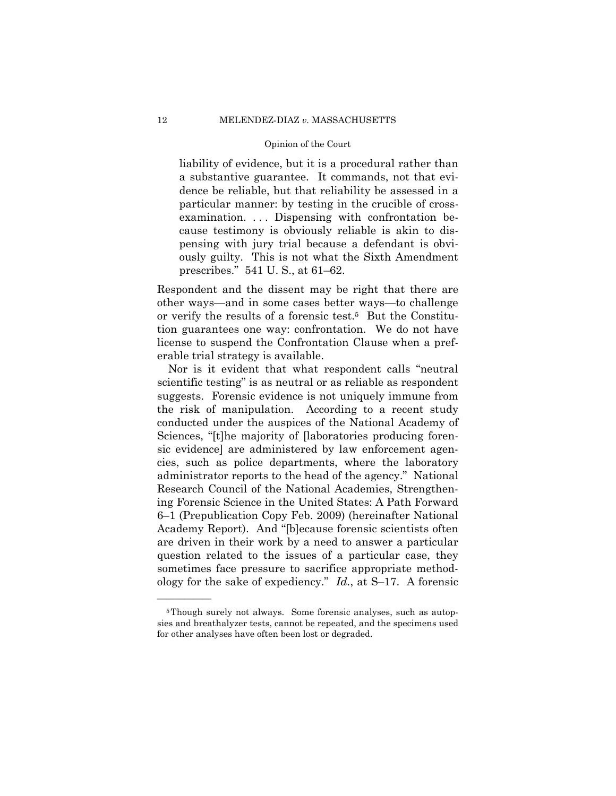liability of evidence, but it is a procedural rather than a substantive guarantee. It commands, not that evidence be reliable, but that reliability be assessed in a particular manner: by testing in the crucible of crossexamination. ... Dispensing with confrontation because testimony is obviously reliable is akin to dispensing with jury trial because a defendant is obviously guilty. This is not what the Sixth Amendment prescribes." 541 U. S., at 61–62.

Respondent and the dissent may be right that there are other ways—and in some cases better ways—to challenge or verify the results of a forensic test.5 But the Constitution guarantees one way: confrontation. We do not have license to suspend the Confrontation Clause when a preferable trial strategy is available.

Nor is it evident that what respondent calls "neutral scientific testing" is as neutral or as reliable as respondent suggests. Forensic evidence is not uniquely immune from the risk of manipulation. According to a recent study conducted under the auspices of the National Academy of Sciences, "[t]he majority of [laboratories producing forensic evidence] are administered by law enforcement agencies, such as police departments, where the laboratory administrator reports to the head of the agency." National Research Council of the National Academies, Strengthening Forensic Science in the United States: A Path Forward 6–1 (Prepublication Copy Feb. 2009) (hereinafter National Academy Report). And "[b]ecause forensic scientists often are driven in their work by a need to answer a particular question related to the issues of a particular case, they sometimes face pressure to sacrifice appropriate methodology for the sake of expediency." *Id.*, at S–17. A forensic

<sup>5</sup>Though surely not always. Some forensic analyses, such as autopsies and breathalyzer tests, cannot be repeated, and the specimens used for other analyses have often been lost or degraded.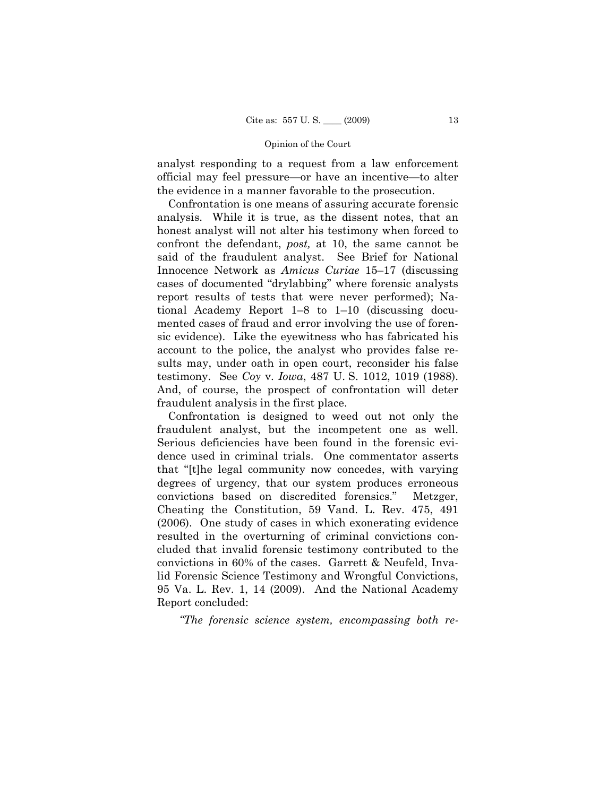analyst responding to a request from a law enforcement official may feel pressure—or have an incentive—to alter the evidence in a manner favorable to the prosecution.

Confrontation is one means of assuring accurate forensic analysis. While it is true, as the dissent notes, that an honest analyst will not alter his testimony when forced to confront the defendant, *post,* at 10, the same cannot be said of the fraudulent analyst. See Brief for National Innocence Network as *Amicus Curiae* 15–17 (discussing cases of documented "drylabbing" where forensic analysts report results of tests that were never performed); National Academy Report 1–8 to 1–10 (discussing documented cases of fraud and error involving the use of forensic evidence). Like the eyewitness who has fabricated his account to the police, the analyst who provides false results may, under oath in open court, reconsider his false testimony. See *Coy* v. *Iowa*, 487 U. S. 1012, 1019 (1988). And, of course, the prospect of confrontation will deter fraudulent analysis in the first place.

Confrontation is designed to weed out not only the fraudulent analyst, but the incompetent one as well. Serious deficiencies have been found in the forensic evidence used in criminal trials. One commentator asserts that "[t]he legal community now concedes, with varying degrees of urgency, that our system produces erroneous convictions based on discredited forensics." Metzger, Cheating the Constitution, 59 Vand. L. Rev. 475, 491 (2006). One study of cases in which exonerating evidence resulted in the overturning of criminal convictions concluded that invalid forensic testimony contributed to the convictions in 60% of the cases. Garrett & Neufeld, Invalid Forensic Science Testimony and Wrongful Convictions, 95 Va. L. Rev. 1, 14 (2009). And the National Academy Report concluded:

*"The forensic science system, encompassing both re-*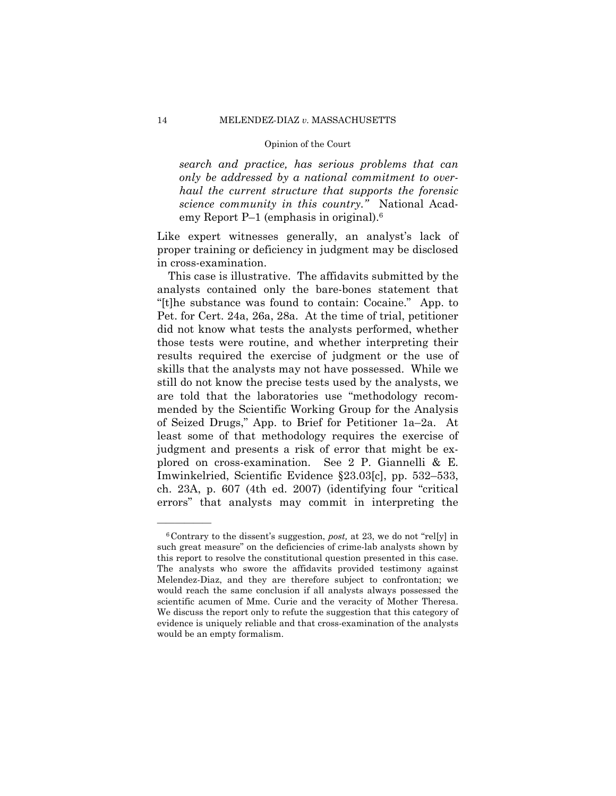*search and practice, has serious problems that can only be addressed by a national commitment to overhaul the current structure that supports the forensic science community in this country."* National Academy Report P–1 (emphasis in original).6

Like expert witnesses generally, an analyst's lack of proper training or deficiency in judgment may be disclosed in cross-examination.

This case is illustrative. The affidavits submitted by the analysts contained only the bare-bones statement that "[t]he substance was found to contain: Cocaine." App. to Pet. for Cert. 24a, 26a, 28a. At the time of trial, petitioner did not know what tests the analysts performed, whether those tests were routine, and whether interpreting their results required the exercise of judgment or the use of skills that the analysts may not have possessed. While we still do not know the precise tests used by the analysts, we are told that the laboratories use "methodology recommended by the Scientific Working Group for the Analysis of Seized Drugs," App. to Brief for Petitioner 1a–2a. At least some of that methodology requires the exercise of judgment and presents a risk of error that might be explored on cross-examination. See 2 P. Giannelli & E. Imwinkelried, Scientific Evidence §23.03[c], pp. 532–533, ch. 23A, p. 607 (4th ed. 2007) (identifying four "critical errors" that analysts may commit in interpreting the

<sup>6</sup>Contrary to the dissent's suggestion, *post,* at 23, we do not "rel[y] in such great measure" on the deficiencies of crime-lab analysts shown by this report to resolve the constitutional question presented in this case. The analysts who swore the affidavits provided testimony against Melendez-Diaz, and they are therefore subject to confrontation; we would reach the same conclusion if all analysts always possessed the scientific acumen of Mme. Curie and the veracity of Mother Theresa. We discuss the report only to refute the suggestion that this category of evidence is uniquely reliable and that cross-examination of the analysts would be an empty formalism.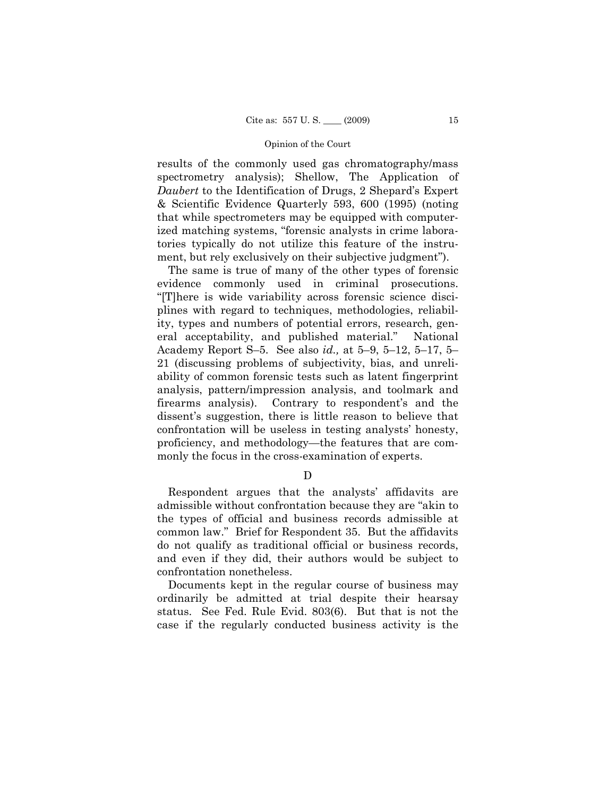results of the commonly used gas chromatography/mass spectrometry analysis); Shellow, The Application of *Daubert* to the Identification of Drugs, 2 Shepard's Expert & Scientific Evidence Quarterly 593, 600 (1995) (noting that while spectrometers may be equipped with computerized matching systems, "forensic analysts in crime laboratories typically do not utilize this feature of the instrument, but rely exclusively on their subjective judgment").

The same is true of many of the other types of forensic evidence commonly used in criminal prosecutions. "[T]here is wide variability across forensic science disciplines with regard to techniques, methodologies, reliability, types and numbers of potential errors, research, general acceptability, and published material." National Academy Report S–5. See also *id.,* at 5–9, 5–12, 5–17, 5– 21 (discussing problems of subjectivity, bias, and unreliability of common forensic tests such as latent fingerprint analysis, pattern/impression analysis, and toolmark and firearms analysis). Contrary to respondent's and the dissent's suggestion, there is little reason to believe that confrontation will be useless in testing analysts' honesty, proficiency, and methodology—the features that are commonly the focus in the cross-examination of experts.

D

Respondent argues that the analysts' affidavits are admissible without confrontation because they are "akin to the types of official and business records admissible at common law." Brief for Respondent 35. But the affidavits do not qualify as traditional official or business records, and even if they did, their authors would be subject to confrontation nonetheless.

Documents kept in the regular course of business may ordinarily be admitted at trial despite their hearsay status. See Fed. Rule Evid. 803(6). But that is not the case if the regularly conducted business activity is the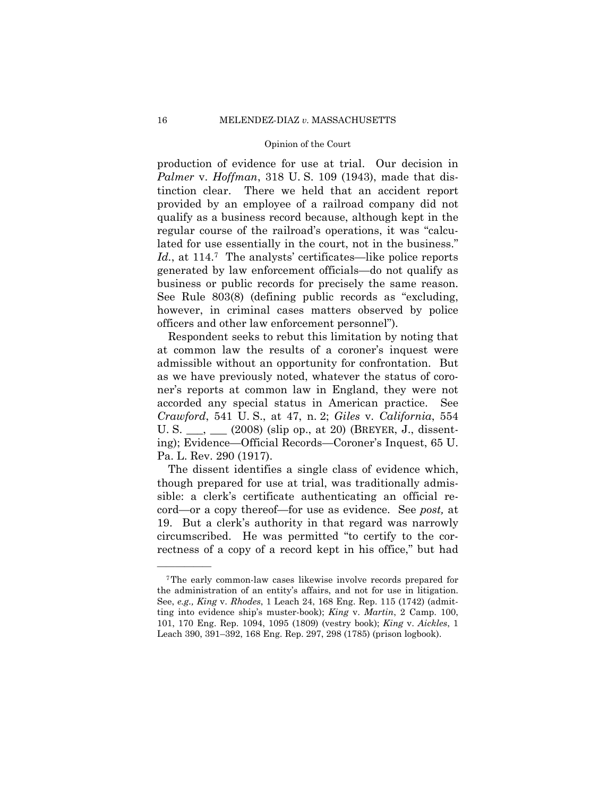production of evidence for use at trial. Our decision in *Palmer* v. *Hoffman*, 318 U. S. 109 (1943), made that distinction clear. There we held that an accident report provided by an employee of a railroad company did not qualify as a business record because, although kept in the regular course of the railroad's operations, it was "calculated for use essentially in the court, not in the business." Id., at 114.<sup>7</sup> The analysts' certificates—like police reports generated by law enforcement officials—do not qualify as business or public records for precisely the same reason. See Rule 803(8) (defining public records as "excluding, however, in criminal cases matters observed by police officers and other law enforcement personnel").

Respondent seeks to rebut this limitation by noting that at common law the results of a coroner's inquest were admissible without an opportunity for confrontation. But as we have previously noted, whatever the status of coroner's reports at common law in England, they were not accorded any special status in American practice. See *Crawford*, 541 U. S., at 47, n. 2; *Giles* v. *California*, 554 U. S. \_\_\_, \_\_\_ (2008) (slip op., at 20) (BREYER, J., dissenting); Evidence—Official Records—Coroner's Inquest, 65 U. Pa. L. Rev. 290 (1917).

The dissent identifies a single class of evidence which, though prepared for use at trial, was traditionally admissible: a clerk's certificate authenticating an official record—or a copy thereof—for use as evidence. See *post,* at 19. But a clerk's authority in that regard was narrowly circumscribed. He was permitted "to certify to the correctness of a copy of a record kept in his office," but had

<sup>7</sup>The early common-law cases likewise involve records prepared for the administration of an entity's affairs, and not for use in litigation. See, *e.g., King* v. *Rhodes*, 1 Leach 24, 168 Eng. Rep. 115 (1742) (admitting into evidence ship's muster-book); *King* v. *Martin*, 2 Camp. 100, 101, 170 Eng. Rep. 1094, 1095 (1809) (vestry book); *King* v. *Aickles*, 1 Leach 390, 391–392, 168 Eng. Rep. 297, 298 (1785) (prison logbook).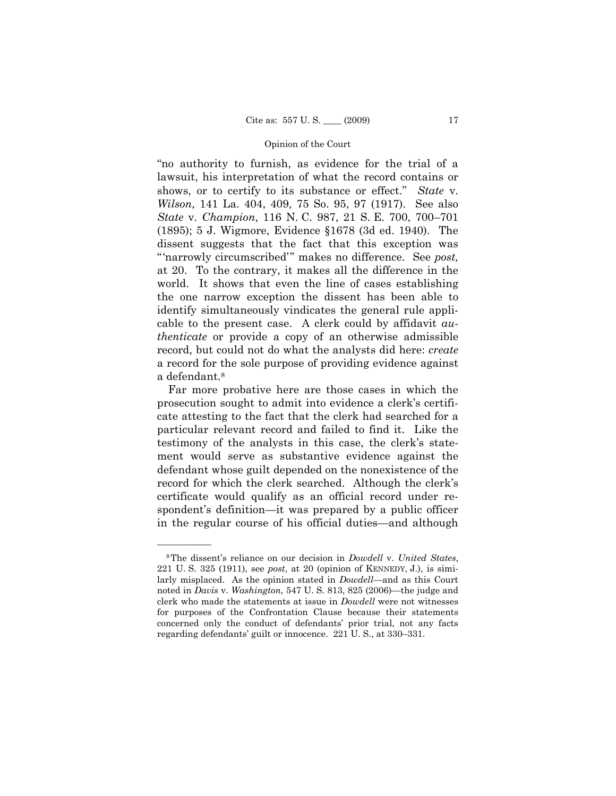"no authority to furnish, as evidence for the trial of a lawsuit, his interpretation of what the record contains or shows, or to certify to its substance or effect." *State* v. *Wilson*, 141 La. 404, 409, 75 So. 95, 97 (1917). See also *State* v. *Champion*, 116 N. C. 987, 21 S. E. 700, 700–701 (1895); 5 J. Wigmore, Evidence §1678 (3d ed. 1940). The dissent suggests that the fact that this exception was "'narrowly circumscribed'" makes no difference. See *post,* at 20. To the contrary, it makes all the difference in the world. It shows that even the line of cases establishing the one narrow exception the dissent has been able to identify simultaneously vindicates the general rule applicable to the present case. A clerk could by affidavit *authenticate* or provide a copy of an otherwise admissible record, but could not do what the analysts did here: *create*  a record for the sole purpose of providing evidence against a defendant.8

Far more probative here are those cases in which the prosecution sought to admit into evidence a clerk's certificate attesting to the fact that the clerk had searched for a particular relevant record and failed to find it. Like the testimony of the analysts in this case, the clerk's statement would serve as substantive evidence against the defendant whose guilt depended on the nonexistence of the record for which the clerk searched. Although the clerk's certificate would qualify as an official record under respondent's definition—it was prepared by a public officer in the regular course of his official duties—and although

<sup>8</sup>The dissent's reliance on our decision in *Dowdell* v. *United States*, 221 U. S. 325 (1911), see *post*, at 20 (opinion of KENNEDY, J.), is similarly misplaced. As the opinion stated in *Dowdell*—and as this Court noted in *Davis* v. *Washington*, 547 U. S. 813, 825 (2006)—the judge and clerk who made the statements at issue in *Dowdell* were not witnesses for purposes of the Confrontation Clause because their statements concerned only the conduct of defendants' prior trial, not any facts regarding defendants' guilt or innocence. 221 U. S., at 330–331.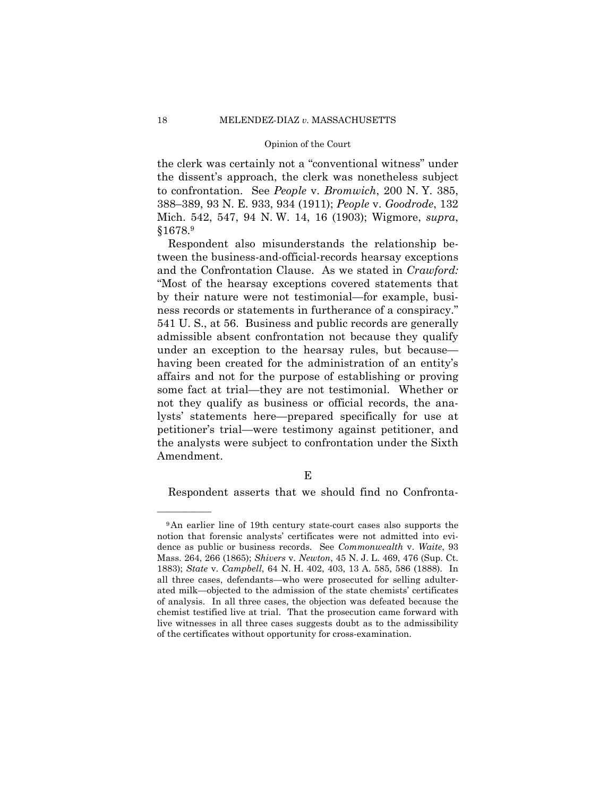the clerk was certainly not a "conventional witness" under the dissent's approach, the clerk was nonetheless subject to confrontation. See *People* v. *Bromwich*, 200 N. Y. 385, 388–389, 93 N. E. 933, 934 (1911); *People* v. *Goodrode*, 132 Mich. 542, 547, 94 N. W. 14, 16 (1903); Wigmore, *supra*, §1678.9

Respondent also misunderstands the relationship between the business-and-official-records hearsay exceptions and the Confrontation Clause. As we stated in *Crawford:*  "Most of the hearsay exceptions covered statements that by their nature were not testimonial—for example, business records or statements in furtherance of a conspiracy." 541 U. S., at 56. Business and public records are generally admissible absent confrontation not because they qualify under an exception to the hearsay rules, but because having been created for the administration of an entity's affairs and not for the purpose of establishing or proving some fact at trial—they are not testimonial. Whether or not they qualify as business or official records, the analysts' statements here—prepared specifically for use at petitioner's trial—were testimony against petitioner, and the analysts were subject to confrontation under the Sixth Amendment.

E

Respondent asserts that we should find no Confronta-

<sup>9</sup>An earlier line of 19th century state-court cases also supports the notion that forensic analysts' certificates were not admitted into evidence as public or business records. See *Commonwealth* v. *Waite*, 93 Mass. 264, 266 (1865); *Shivers* v. *Newton*, 45 N. J. L. 469, 476 (Sup. Ct. 1883); *State* v. *Campbell*, 64 N. H. 402, 403, 13 A. 585, 586 (1888). In all three cases, defendants—who were prosecuted for selling adulterated milk—objected to the admission of the state chemists' certificates of analysis. In all three cases, the objection was defeated because the chemist testified live at trial. That the prosecution came forward with live witnesses in all three cases suggests doubt as to the admissibility of the certificates without opportunity for cross-examination.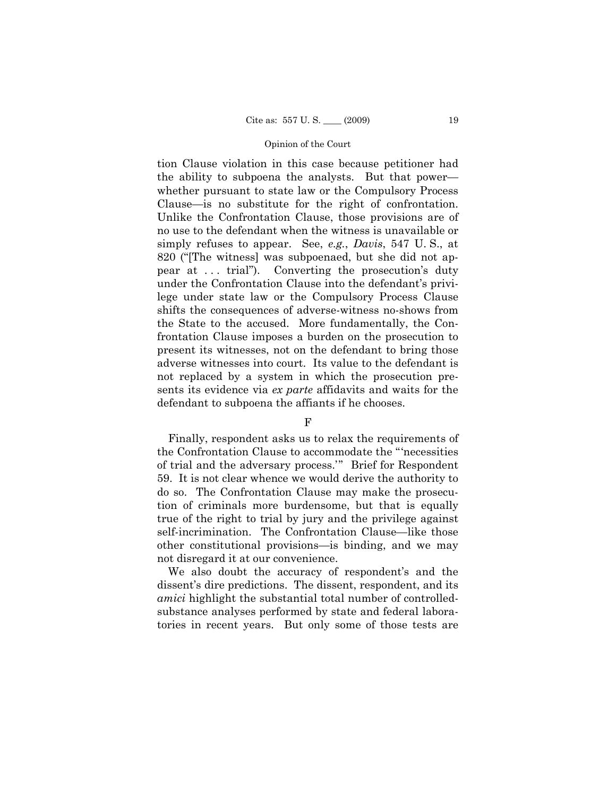tion Clause violation in this case because petitioner had the ability to subpoena the analysts. But that power whether pursuant to state law or the Compulsory Process Clause—is no substitute for the right of confrontation. Unlike the Confrontation Clause, those provisions are of no use to the defendant when the witness is unavailable or simply refuses to appear. See, *e.g.*, *Davis*, 547 U. S., at 820 ("[The witness] was subpoenaed, but she did not appear at . . . trial"). Converting the prosecution's duty under the Confrontation Clause into the defendant's privilege under state law or the Compulsory Process Clause shifts the consequences of adverse-witness no-shows from the State to the accused. More fundamentally, the Confrontation Clause imposes a burden on the prosecution to present its witnesses, not on the defendant to bring those adverse witnesses into court. Its value to the defendant is not replaced by a system in which the prosecution presents its evidence via *ex parte* affidavits and waits for the defendant to subpoena the affiants if he chooses.

## F

Finally, respondent asks us to relax the requirements of the Confrontation Clause to accommodate the "'necessities of trial and the adversary process.'" Brief for Respondent 59. It is not clear whence we would derive the authority to do so. The Confrontation Clause may make the prosecution of criminals more burdensome, but that is equally true of the right to trial by jury and the privilege against self-incrimination. The Confrontation Clause—like those other constitutional provisions—is binding, and we may not disregard it at our convenience.

We also doubt the accuracy of respondent's and the dissent's dire predictions. The dissent, respondent, and its *amici* highlight the substantial total number of controlledsubstance analyses performed by state and federal laboratories in recent years. But only some of those tests are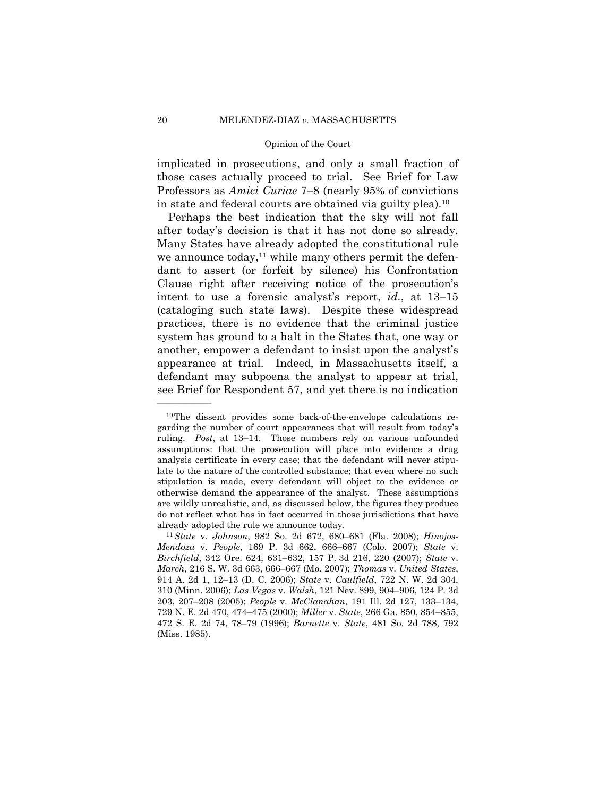implicated in prosecutions, and only a small fraction of those cases actually proceed to trial. See Brief for Law Professors as *Amici Curiae* 7–8 (nearly 95% of convictions in state and federal courts are obtained via guilty plea).10

Perhaps the best indication that the sky will not fall after today's decision is that it has not done so already. Many States have already adopted the constitutional rule we announce today, $11$  while many others permit the defendant to assert (or forfeit by silence) his Confrontation Clause right after receiving notice of the prosecution's intent to use a forensic analyst's report, *id.*, at 13–15 (cataloging such state laws). Despite these widespread practices, there is no evidence that the criminal justice system has ground to a halt in the States that, one way or another, empower a defendant to insist upon the analyst's appearance at trial. Indeed, in Massachusetts itself, a defendant may subpoena the analyst to appear at trial, see Brief for Respondent 57, and yet there is no indication

<sup>10</sup>The dissent provides some back-of-the-envelope calculations regarding the number of court appearances that will result from today's ruling. *Post*, at 13–14. Those numbers rely on various unfounded assumptions: that the prosecution will place into evidence a drug analysis certificate in every case; that the defendant will never stipulate to the nature of the controlled substance; that even where no such stipulation is made, every defendant will object to the evidence or otherwise demand the appearance of the analyst. These assumptions are wildly unrealistic, and, as discussed below, the figures they produce do not reflect what has in fact occurred in those jurisdictions that have

already adopted the rule we announce today. 11 *State* v. *Johnson*, 982 So. 2d 672, 680–681 (Fla. 2008); *Hinojos-Mendoza* v. *People*, 169 P. 3d 662, 666–667 (Colo. 2007); *State* v. *Birchfield*, 342 Ore. 624, 631–632, 157 P. 3d 216, 220 (2007); *State* v. *March*, 216 S. W. 3d 663, 666–667 (Mo. 2007); *Thomas* v. *United States*, 914 A. 2d 1, 12–13 (D. C. 2006); *State* v. *Caulfield*, 722 N. W. 2d 304, 310 (Minn. 2006); *Las Vegas* v. *Walsh*, 121 Nev. 899, 904–906, 124 P. 3d 203, 207–208 (2005); *People* v. *McClanahan*, 191 Ill. 2d 127, 133–134, 729 N. E. 2d 470, 474–475 (2000); *Miller* v. *State*, 266 Ga. 850, 854–855, 472 S. E. 2d 74, 78–79 (1996); *Barnette* v. *State*, 481 So. 2d 788, 792 (Miss. 1985).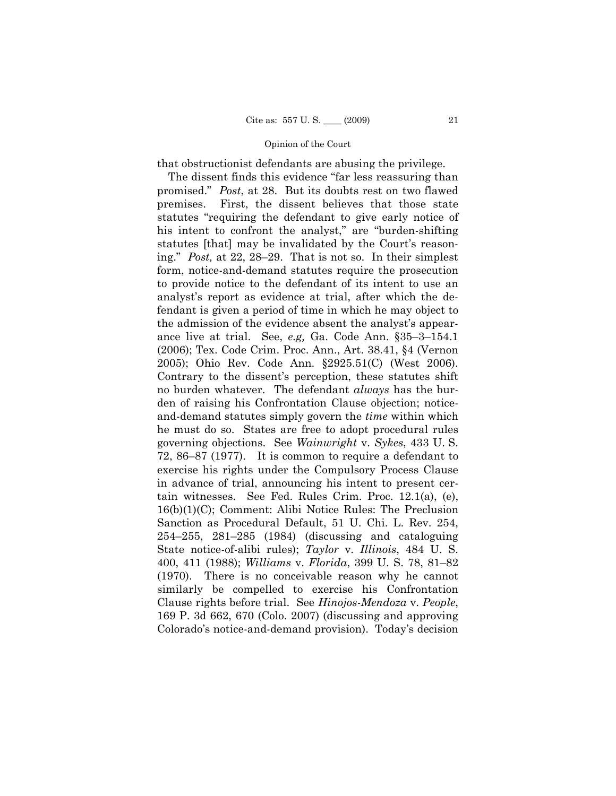that obstructionist defendants are abusing the privilege.

The dissent finds this evidence "far less reassuring than promised." *Post*, at 28. But its doubts rest on two flawed premises. First, the dissent believes that those state statutes "requiring the defendant to give early notice of his intent to confront the analyst," are "burden-shifting" statutes [that] may be invalidated by the Court's reasoning." *Post,* at 22, 28–29. That is not so. In their simplest form, notice-and-demand statutes require the prosecution to provide notice to the defendant of its intent to use an analyst's report as evidence at trial, after which the defendant is given a period of time in which he may object to the admission of the evidence absent the analyst's appearance live at trial. See, *e.g,* Ga. Code Ann. §35–3–154.1 (2006); Tex. Code Crim. Proc. Ann., Art. 38.41, §4 (Vernon 2005); Ohio Rev. Code Ann. §2925.51(C) (West 2006). Contrary to the dissent's perception, these statutes shift no burden whatever. The defendant *always* has the burden of raising his Confrontation Clause objection; noticeand-demand statutes simply govern the *time* within which he must do so. States are free to adopt procedural rules governing objections. See *Wainwright* v. *Sykes*, 433 U. S. 72, 86–87 (1977). It is common to require a defendant to exercise his rights under the Compulsory Process Clause in advance of trial, announcing his intent to present certain witnesses. See Fed. Rules Crim. Proc. 12.1(a), (e), 16(b)(1)(C); Comment: Alibi Notice Rules: The Preclusion Sanction as Procedural Default, 51 U. Chi. L. Rev. 254, 254–255, 281–285 (1984) (discussing and cataloguing State notice-of-alibi rules); *Taylor* v. *Illinois*, 484 U. S. 400, 411 (1988); *Williams* v. *Florida*, 399 U. S. 78, 81–82 (1970). There is no conceivable reason why he cannot similarly be compelled to exercise his Confrontation Clause rights before trial. See *Hinojos-Mendoza* v. *People*, 169 P. 3d 662, 670 (Colo. 2007) (discussing and approving Colorado's notice-and-demand provision). Today's decision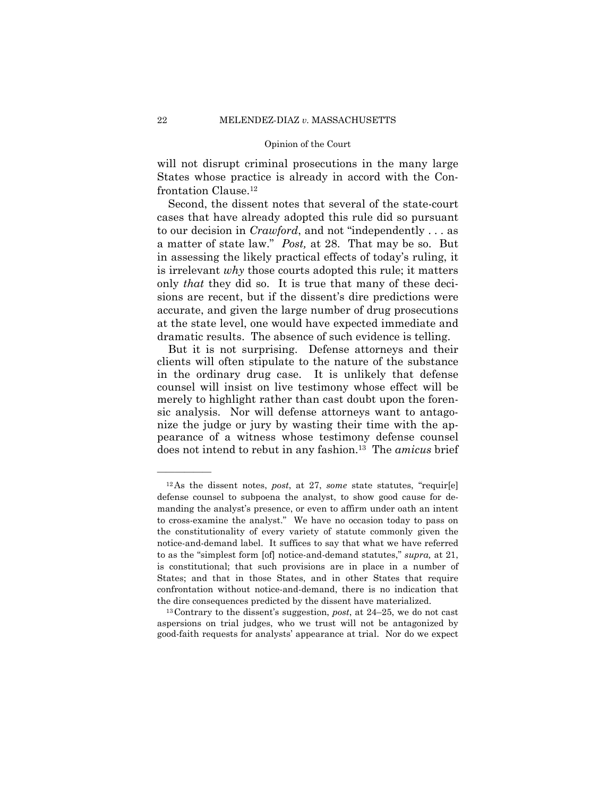will not disrupt criminal prosecutions in the many large States whose practice is already in accord with the Confrontation Clause.12

Second, the dissent notes that several of the state-court cases that have already adopted this rule did so pursuant to our decision in *Crawford*, and not "independently . . . as a matter of state law." *Post,* at 28. That may be so. But in assessing the likely practical effects of today's ruling, it is irrelevant *why* those courts adopted this rule; it matters only *that* they did so. It is true that many of these decisions are recent, but if the dissent's dire predictions were accurate, and given the large number of drug prosecutions at the state level, one would have expected immediate and dramatic results. The absence of such evidence is telling.

But it is not surprising. Defense attorneys and their clients will often stipulate to the nature of the substance in the ordinary drug case. It is unlikely that defense counsel will insist on live testimony whose effect will be merely to highlight rather than cast doubt upon the forensic analysis. Nor will defense attorneys want to antagonize the judge or jury by wasting their time with the appearance of a witness whose testimony defense counsel does not intend to rebut in any fashion.13 The *amicus* brief

<sup>12</sup>As the dissent notes, *post*, at 27, *some* state statutes, "requir[e] defense counsel to subpoena the analyst, to show good cause for demanding the analyst's presence, or even to affirm under oath an intent to cross-examine the analyst." We have no occasion today to pass on the constitutionality of every variety of statute commonly given the notice-and-demand label. It suffices to say that what we have referred to as the "simplest form [of] notice-and-demand statutes," *supra,* at 21, is constitutional; that such provisions are in place in a number of States; and that in those States, and in other States that require confrontation without notice-and-demand, there is no indication that the dire consequences predicted by the dissent have materialized. 13Contrary to the dissent's suggestion, *post*, at 24–25, we do not cast

aspersions on trial judges, who we trust will not be antagonized by good-faith requests for analysts' appearance at trial. Nor do we expect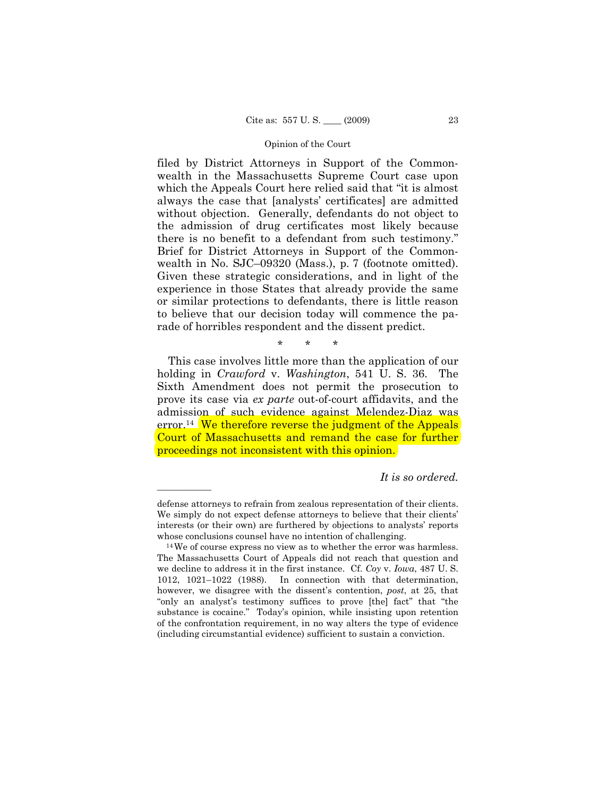filed by District Attorneys in Support of the Commonwealth in the Massachusetts Supreme Court case upon which the Appeals Court here relied said that "it is almost always the case that [analysts' certificates] are admitted without objection. Generally, defendants do not object to the admission of drug certificates most likely because there is no benefit to a defendant from such testimony." Brief for District Attorneys in Support of the Commonwealth in No. SJC–09320 (Mass.), p. 7 (footnote omitted). Given these strategic considerations, and in light of the experience in those States that already provide the same or similar protections to defendants, there is little reason to believe that our decision today will commence the parade of horribles respondent and the dissent predict.

\* \* \*

This case involves little more than the application of our holding in *Crawford* v. *Washington*, 541 U. S. 36. The Sixth Amendment does not permit the prosecution to prove its case via *ex parte* out-of-court affidavits, and the admission of such evidence against Melendez-Diaz was error.<sup>14</sup> We therefore reverse the judgment of the Appeals Court of Massachusetts and remand the case for further proceedings not inconsistent with this opinion.

## *It is so ordered.*

defense attorneys to refrain from zealous representation of their clients. We simply do not expect defense attorneys to believe that their clients' interests (or their own) are furthered by objections to analysts' reports whose conclusions counsel have no intention of challenging.<br><sup>14</sup>We of course express no view as to whether the error was harmless.

The Massachusetts Court of Appeals did not reach that question and we decline to address it in the first instance. Cf. *Coy* v. *Iowa*, 487 U. S. 1012, 1021–1022 (1988). In connection with that determination, however, we disagree with the dissent's contention, *post*, at 25, that "only an analyst's testimony suffices to prove [the] fact" that "the substance is cocaine." Today's opinion, while insisting upon retention of the confrontation requirement, in no way alters the type of evidence (including circumstantial evidence) sufficient to sustain a conviction.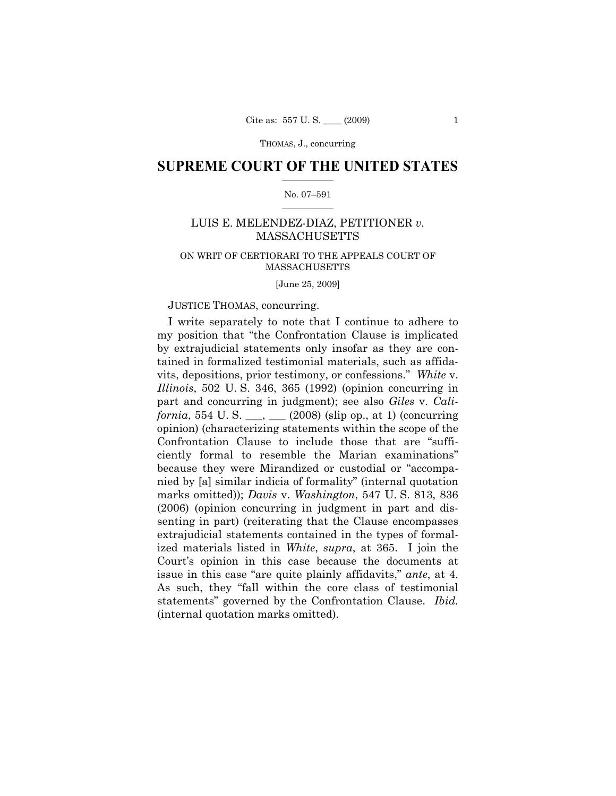THOMAS, J., concurring

## $\frac{1}{2}$  ,  $\frac{1}{2}$  ,  $\frac{1}{2}$  ,  $\frac{1}{2}$  ,  $\frac{1}{2}$  ,  $\frac{1}{2}$  ,  $\frac{1}{2}$ **SUPREME COURT OF THE UNITED STATES**

## $\frac{1}{2}$  ,  $\frac{1}{2}$  ,  $\frac{1}{2}$  ,  $\frac{1}{2}$  ,  $\frac{1}{2}$  ,  $\frac{1}{2}$ No. 07–591

## LUIS E. MELENDEZ-DIAZ, PETITIONER *v.* **MASSACHUSETTS**

## ON WRIT OF CERTIORARI TO THE APPEALS COURT OF MASSACHUSETTS

[June 25, 2009]

## JUSTICE THOMAS, concurring.

I write separately to note that I continue to adhere to my position that "the Confrontation Clause is implicated by extrajudicial statements only insofar as they are contained in formalized testimonial materials, such as affidavits, depositions, prior testimony, or confessions." *White* v. *Illinois*, 502 U. S. 346, 365 (1992) (opinion concurring in part and concurring in judgment); see also *Giles* v. *California*, 554 U.S.  $\qquad \qquad$  (2008) (slip op., at 1) (concurring opinion) (characterizing statements within the scope of the Confrontation Clause to include those that are "sufficiently formal to resemble the Marian examinations" because they were Mirandized or custodial or "accompanied by [a] similar indicia of formality" (internal quotation marks omitted)); *Davis* v. *Washington*, 547 U. S. 813, 836 (2006) (opinion concurring in judgment in part and dissenting in part) (reiterating that the Clause encompasses extrajudicial statements contained in the types of formalized materials listed in *White*, *supra*, at 365. I join the Court's opinion in this case because the documents at issue in this case "are quite plainly affidavits," *ante*, at 4. As such, they "fall within the core class of testimonial statements" governed by the Confrontation Clause. *Ibid.* (internal quotation marks omitted).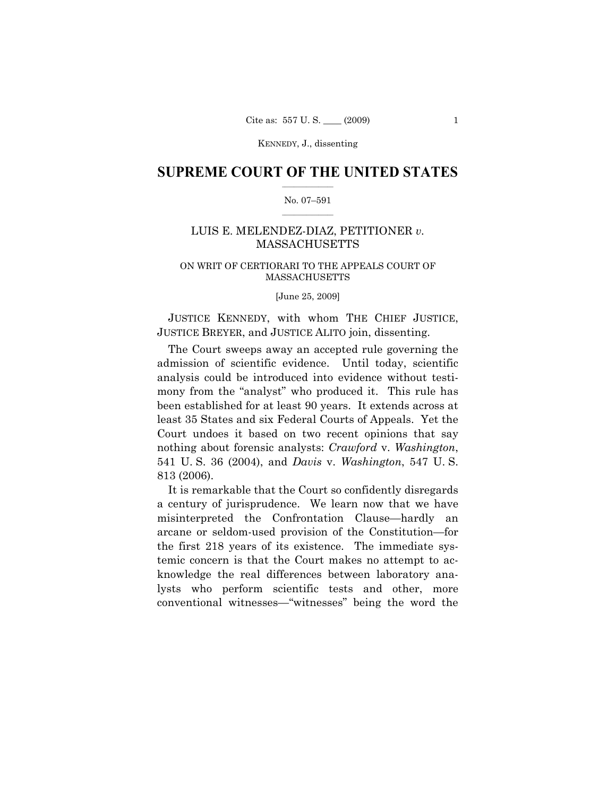## $\frac{1}{2}$  ,  $\frac{1}{2}$  ,  $\frac{1}{2}$  ,  $\frac{1}{2}$  ,  $\frac{1}{2}$  ,  $\frac{1}{2}$  ,  $\frac{1}{2}$ **SUPREME COURT OF THE UNITED STATES**

## $\frac{1}{2}$  ,  $\frac{1}{2}$  ,  $\frac{1}{2}$  ,  $\frac{1}{2}$  ,  $\frac{1}{2}$  ,  $\frac{1}{2}$ No. 07–591

## LUIS E. MELENDEZ-DIAZ, PETITIONER *v.* MASSACHUSETTS

## ON WRIT OF CERTIORARI TO THE APPEALS COURT OF MASSACHUSETTS

#### [June 25, 2009]

JUSTICE KENNEDY, with whom THE CHIEF JUSTICE, JUSTICE BREYER, and JUSTICE ALITO join, dissenting.

The Court sweeps away an accepted rule governing the admission of scientific evidence. Until today, scientific analysis could be introduced into evidence without testimony from the "analyst" who produced it. This rule has been established for at least 90 years. It extends across at least 35 States and six Federal Courts of Appeals. Yet the Court undoes it based on two recent opinions that say nothing about forensic analysts: *Crawford* v. *Washington*, 541 U. S. 36 (2004), and *Davis* v. *Washington*, 547 U. S. 813 (2006).

It is remarkable that the Court so confidently disregards a century of jurisprudence. We learn now that we have misinterpreted the Confrontation Clause—hardly an arcane or seldom-used provision of the Constitution—for the first 218 years of its existence. The immediate systemic concern is that the Court makes no attempt to acknowledge the real differences between laboratory analysts who perform scientific tests and other, more conventional witnesses—"witnesses" being the word the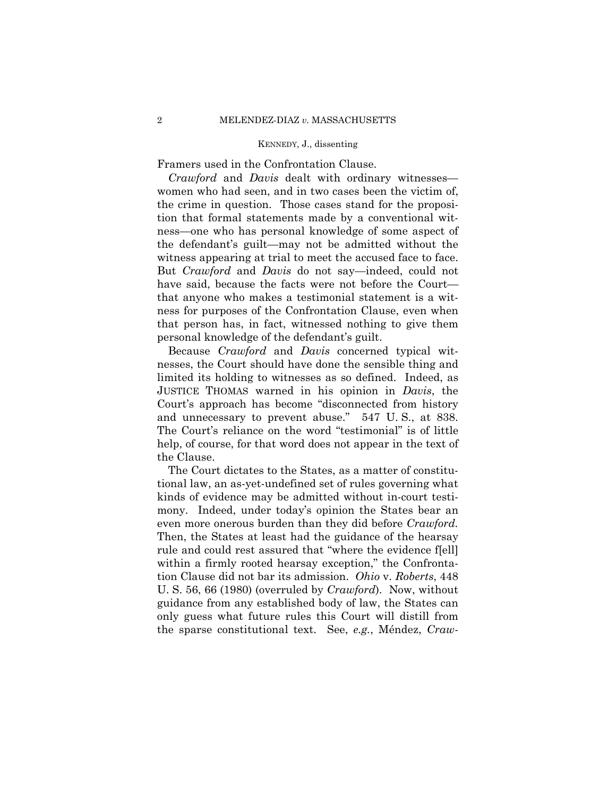Framers used in the Confrontation Clause.

*Crawford* and *Davis* dealt with ordinary witnesses women who had seen, and in two cases been the victim of, the crime in question. Those cases stand for the proposition that formal statements made by a conventional witness—one who has personal knowledge of some aspect of the defendant's guilt—may not be admitted without the witness appearing at trial to meet the accused face to face. But *Crawford* and *Davis* do not say—indeed, could not have said, because the facts were not before the Court that anyone who makes a testimonial statement is a witness for purposes of the Confrontation Clause, even when that person has, in fact, witnessed nothing to give them personal knowledge of the defendant's guilt.

Because *Crawford* and *Davis* concerned typical witnesses, the Court should have done the sensible thing and limited its holding to witnesses as so defined. Indeed, as JUSTICE THOMAS warned in his opinion in *Davis*, the Court's approach has become "disconnected from history and unnecessary to prevent abuse." 547 U. S., at 838. The Court's reliance on the word "testimonial" is of little help, of course, for that word does not appear in the text of the Clause.

The Court dictates to the States, as a matter of constitutional law, an as-yet-undefined set of rules governing what kinds of evidence may be admitted without in-court testimony. Indeed, under today's opinion the States bear an even more onerous burden than they did before *Crawford.*  Then, the States at least had the guidance of the hearsay rule and could rest assured that "where the evidence f[ell] within a firmly rooted hearsay exception," the Confrontation Clause did not bar its admission. *Ohio* v. *Roberts*, 448 U. S. 56, 66 (1980) (overruled by *Crawford*). Now, without guidance from any established body of law, the States can only guess what future rules this Court will distill from the sparse constitutional text. See, *e.g.*, Méndez, *Craw-*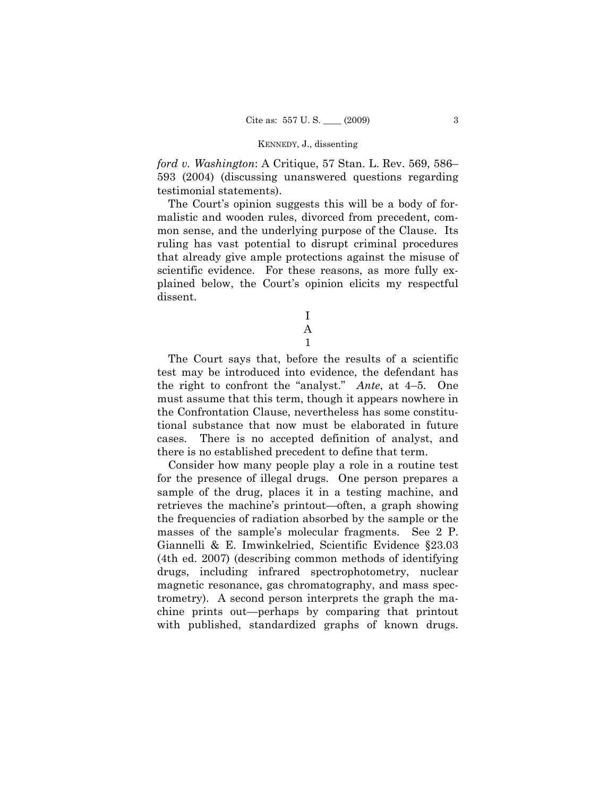*ford v. Washington*: A Critique, 57 Stan. L. Rev. 569, 586– 593 (2004) (discussing unanswered questions regarding testimonial statements).

The Court's opinion suggests this will be a body of formalistic and wooden rules, divorced from precedent, common sense, and the underlying purpose of the Clause. Its ruling has vast potential to disrupt criminal procedures that already give ample protections against the misuse of scientific evidence. For these reasons, as more fully explained below, the Court's opinion elicits my respectful dissent.

The Court says that, before the results of a scientific test may be introduced into evidence, the defendant has the right to confront the "analyst." *Ante*, at 4–5. One must assume that this term, though it appears nowhere in the Confrontation Clause, nevertheless has some constitutional substance that now must be elaborated in future cases. There is no accepted definition of analyst, and there is no established precedent to define that term.

Consider how many people play a role in a routine test for the presence of illegal drugs. One person prepares a sample of the drug, places it in a testing machine, and retrieves the machine's printout—often, a graph showing the frequencies of radiation absorbed by the sample or the masses of the sample's molecular fragments. See 2 P. Giannelli & E. Imwinkelried, Scientific Evidence §23.03 (4th ed. 2007) (describing common methods of identifying drugs, including infrared spectrophotometry, nuclear magnetic resonance, gas chromatography, and mass spectrometry). A second person interprets the graph the machine prints out—perhaps by comparing that printout with published, standardized graphs of known drugs.

I A 1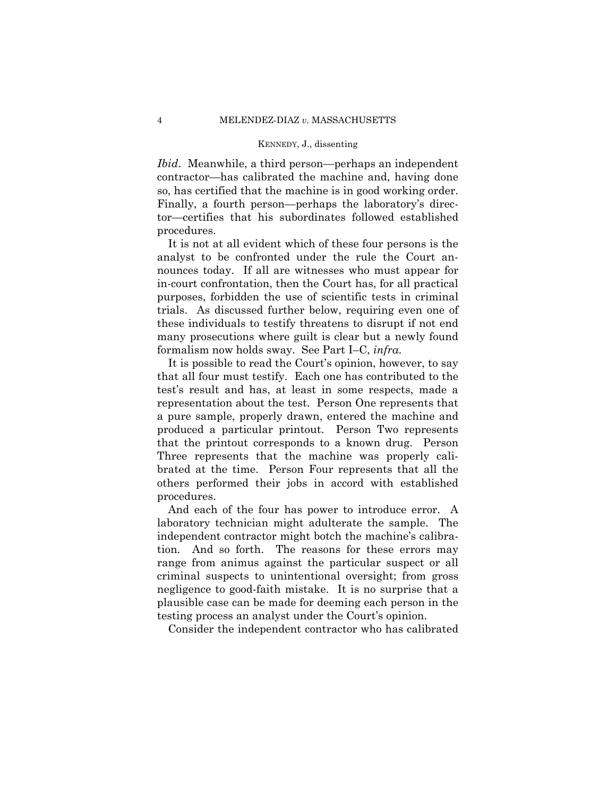*Ibid*. Meanwhile, a third person—perhaps an independent contractor—has calibrated the machine and, having done so, has certified that the machine is in good working order. Finally, a fourth person—perhaps the laboratory's director—certifies that his subordinates followed established procedures.

It is not at all evident which of these four persons is the analyst to be confronted under the rule the Court announces today. If all are witnesses who must appear for in-court confrontation, then the Court has, for all practical purposes, forbidden the use of scientific tests in criminal trials. As discussed further below, requiring even one of these individuals to testify threatens to disrupt if not end many prosecutions where guilt is clear but a newly found formalism now holds sway. See Part I–C, *infra*.

It is possible to read the Court's opinion, however, to say that all four must testify. Each one has contributed to the test's result and has, at least in some respects, made a representation about the test. Person One represents that a pure sample, properly drawn, entered the machine and produced a particular printout. Person Two represents that the printout corresponds to a known drug. Person Three represents that the machine was properly calibrated at the time. Person Four represents that all the others performed their jobs in accord with established procedures.

And each of the four has power to introduce error. A laboratory technician might adulterate the sample. The independent contractor might botch the machine's calibration. And so forth. The reasons for these errors may range from animus against the particular suspect or all criminal suspects to unintentional oversight; from gross negligence to good-faith mistake. It is no surprise that a plausible case can be made for deeming each person in the testing process an analyst under the Court's opinion.

Consider the independent contractor who has calibrated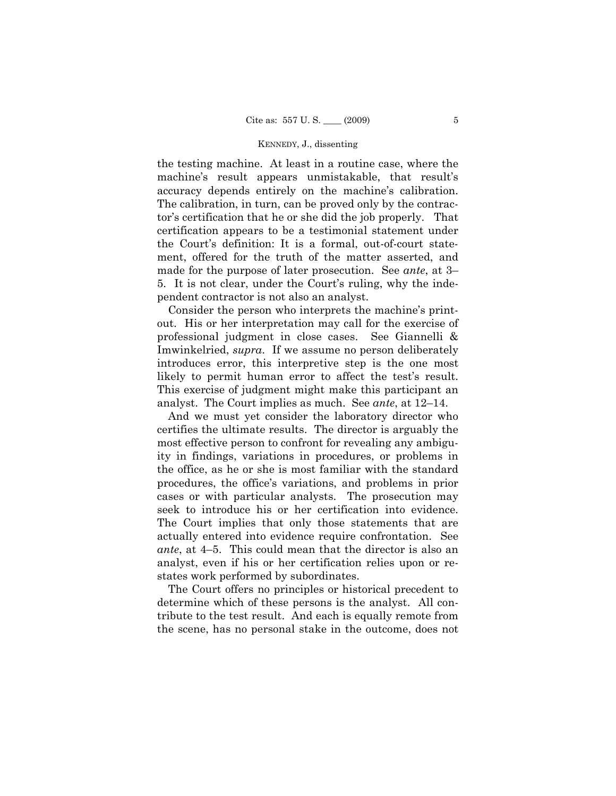the testing machine. At least in a routine case, where the machine's result appears unmistakable, that result's accuracy depends entirely on the machine's calibration. The calibration, in turn, can be proved only by the contractor's certification that he or she did the job properly. That certification appears to be a testimonial statement under the Court's definition: It is a formal, out-of-court statement, offered for the truth of the matter asserted, and made for the purpose of later prosecution. See *ante*, at 3– 5. It is not clear, under the Court's ruling, why the independent contractor is not also an analyst.

Consider the person who interprets the machine's printout. His or her interpretation may call for the exercise of professional judgment in close cases. See Giannelli & Imwinkelried, *supra*. If we assume no person deliberately introduces error, this interpretive step is the one most likely to permit human error to affect the test's result. This exercise of judgment might make this participant an analyst. The Court implies as much. See *ante*, at 12–14.

And we must yet consider the laboratory director who certifies the ultimate results. The director is arguably the most effective person to confront for revealing any ambiguity in findings, variations in procedures, or problems in the office, as he or she is most familiar with the standard procedures, the office's variations, and problems in prior cases or with particular analysts. The prosecution may seek to introduce his or her certification into evidence. The Court implies that only those statements that are actually entered into evidence require confrontation. See *ante*, at 4–5. This could mean that the director is also an analyst, even if his or her certification relies upon or restates work performed by subordinates.

The Court offers no principles or historical precedent to determine which of these persons is the analyst. All contribute to the test result. And each is equally remote from the scene, has no personal stake in the outcome, does not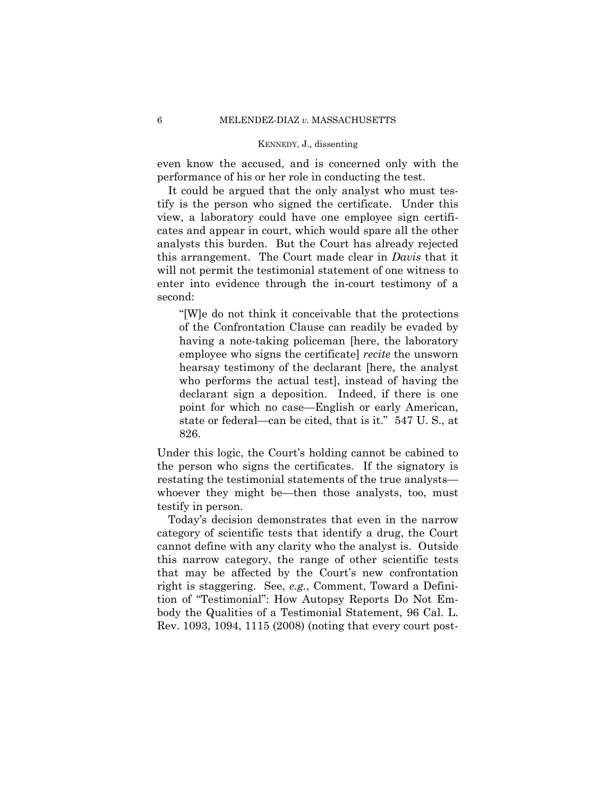even know the accused, and is concerned only with the performance of his or her role in conducting the test.

It could be argued that the only analyst who must testify is the person who signed the certificate. Under this view, a laboratory could have one employee sign certificates and appear in court, which would spare all the other analysts this burden. But the Court has already rejected this arrangement. The Court made clear in *Davis* that it will not permit the testimonial statement of one witness to enter into evidence through the in-court testimony of a second:

"[W]e do not think it conceivable that the protections of the Confrontation Clause can readily be evaded by having a note-taking policeman [here, the laboratory employee who signs the certificate] *recite* the unsworn hearsay testimony of the declarant [here, the analyst who performs the actual test], instead of having the declarant sign a deposition. Indeed, if there is one point for which no case—English or early American, state or federal—can be cited, that is it." 547 U. S., at 826.

Under this logic, the Court's holding cannot be cabined to the person who signs the certificates. If the signatory is restating the testimonial statements of the true analysts whoever they might be—then those analysts, too, must testify in person.

Today's decision demonstrates that even in the narrow category of scientific tests that identify a drug, the Court cannot define with any clarity who the analyst is. Outside this narrow category, the range of other scientific tests that may be affected by the Court's new confrontation right is staggering. See, *e.g.*, Comment, Toward a Definition of "Testimonial": How Autopsy Reports Do Not Embody the Qualities of a Testimonial Statement, 96 Cal. L. Rev. 1093, 1094, 1115 (2008) (noting that every court post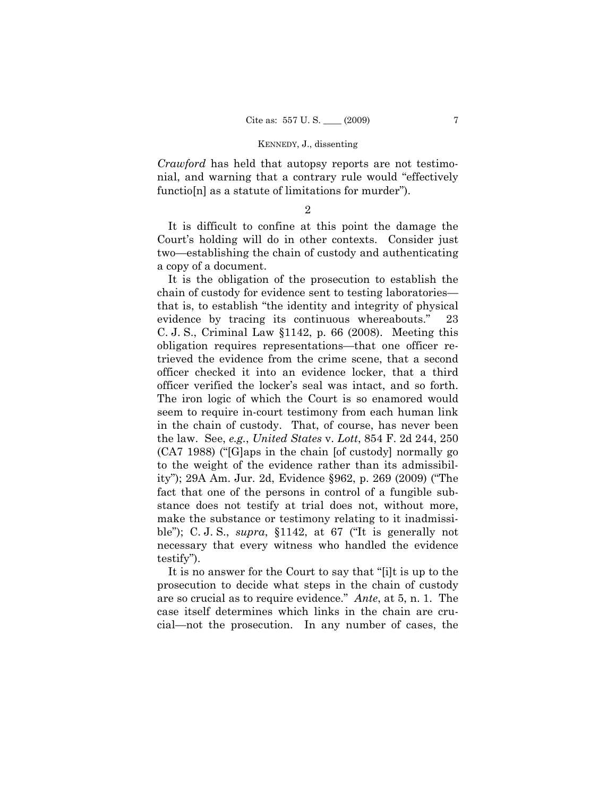*Crawford* has held that autopsy reports are not testimonial, and warning that a contrary rule would "effectively functio[n] as a statute of limitations for murder").

2

It is difficult to confine at this point the damage the Court's holding will do in other contexts. Consider just two—establishing the chain of custody and authenticating a copy of a document.

It is the obligation of the prosecution to establish the chain of custody for evidence sent to testing laboratories that is, to establish "the identity and integrity of physical evidence by tracing its continuous whereabouts." 23 C. J. S., Criminal Law §1142, p. 66 (2008). Meeting this obligation requires representations—that one officer retrieved the evidence from the crime scene, that a second officer checked it into an evidence locker, that a third officer verified the locker's seal was intact, and so forth. The iron logic of which the Court is so enamored would seem to require in-court testimony from each human link in the chain of custody. That, of course, has never been the law. See, *e.g.*, *United States* v. *Lott*, 854 F. 2d 244, 250 (CA7 1988) ("[G]aps in the chain [of custody] normally go to the weight of the evidence rather than its admissibility"); 29A Am. Jur. 2d, Evidence §962, p. 269 (2009) ("The fact that one of the persons in control of a fungible substance does not testify at trial does not, without more, make the substance or testimony relating to it inadmissible"); C. J. S., *supra*, §1142, at 67 ("It is generally not necessary that every witness who handled the evidence testify").

It is no answer for the Court to say that "[i]t is up to the prosecution to decide what steps in the chain of custody are so crucial as to require evidence." *Ante*, at 5, n. 1. The case itself determines which links in the chain are crucial—not the prosecution. In any number of cases, the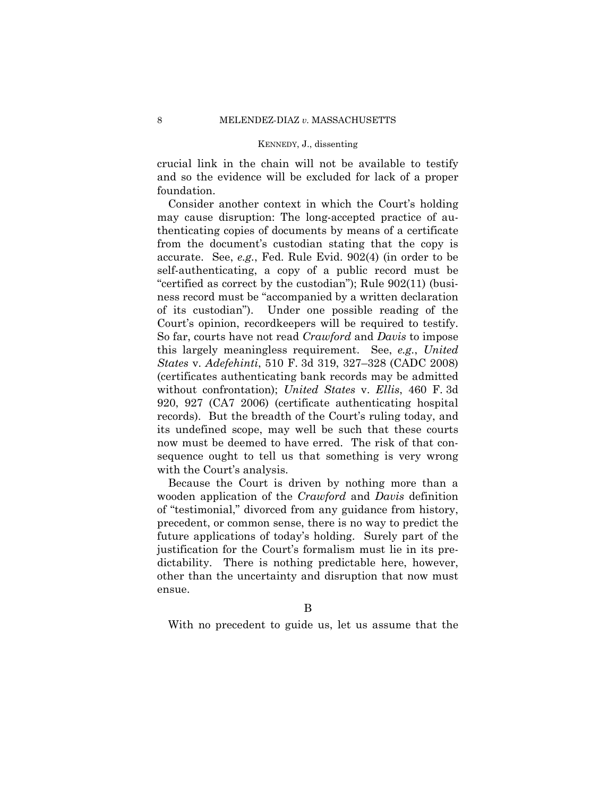crucial link in the chain will not be available to testify and so the evidence will be excluded for lack of a proper foundation.

Consider another context in which the Court's holding may cause disruption: The long-accepted practice of authenticating copies of documents by means of a certificate from the document's custodian stating that the copy is accurate. See, *e.g.*, Fed. Rule Evid. 902(4) (in order to be self-authenticating, a copy of a public record must be "certified as correct by the custodian"); Rule 902(11) (business record must be "accompanied by a written declaration of its custodian"). Under one possible reading of the Court's opinion, recordkeepers will be required to testify. So far, courts have not read *Crawford* and *Davis* to impose this largely meaningless requirement. See, *e.g.*, *United States* v. *Adefehinti*, 510 F. 3d 319, 327–328 (CADC 2008) (certificates authenticating bank records may be admitted without confrontation); *United States* v. *Ellis*, 460 F. 3d 920, 927 (CA7 2006) (certificate authenticating hospital records). But the breadth of the Court's ruling today, and its undefined scope, may well be such that these courts now must be deemed to have erred. The risk of that consequence ought to tell us that something is very wrong with the Court's analysis.

Because the Court is driven by nothing more than a wooden application of the *Crawford* and *Davis* definition of "testimonial," divorced from any guidance from history, precedent, or common sense, there is no way to predict the future applications of today's holding. Surely part of the justification for the Court's formalism must lie in its predictability. There is nothing predictable here, however, other than the uncertainty and disruption that now must ensue.

With no precedent to guide us, let us assume that the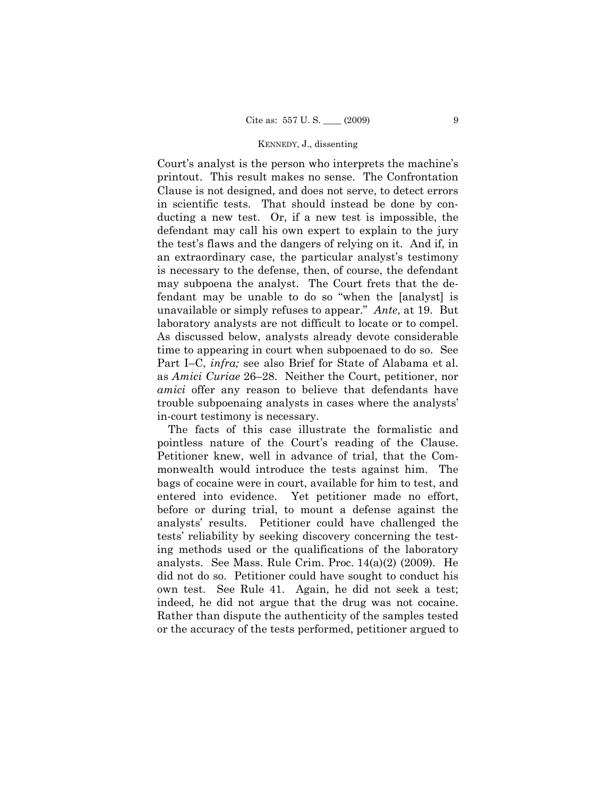Court's analyst is the person who interprets the machine's printout. This result makes no sense. The Confrontation Clause is not designed, and does not serve, to detect errors in scientific tests. That should instead be done by conducting a new test. Or, if a new test is impossible, the defendant may call his own expert to explain to the jury the test's flaws and the dangers of relying on it. And if, in an extraordinary case, the particular analyst's testimony is necessary to the defense, then, of course, the defendant may subpoena the analyst. The Court frets that the defendant may be unable to do so "when the [analyst] is unavailable or simply refuses to appear." *Ante*, at 19. But laboratory analysts are not difficult to locate or to compel. As discussed below, analysts already devote considerable time to appearing in court when subpoenaed to do so. See Part I–C, *infra;* see also Brief for State of Alabama et al. as *Amici Curiae* 26–28. Neither the Court, petitioner, nor *amici* offer any reason to believe that defendants have trouble subpoenaing analysts in cases where the analysts' in-court testimony is necessary.

The facts of this case illustrate the formalistic and pointless nature of the Court's reading of the Clause. Petitioner knew, well in advance of trial, that the Commonwealth would introduce the tests against him. The bags of cocaine were in court, available for him to test, and entered into evidence. Yet petitioner made no effort, before or during trial, to mount a defense against the analysts' results. Petitioner could have challenged the tests' reliability by seeking discovery concerning the testing methods used or the qualifications of the laboratory analysts. See Mass. Rule Crim. Proc. 14(a)(2) (2009). He did not do so. Petitioner could have sought to conduct his own test. See Rule 41. Again, he did not seek a test; indeed, he did not argue that the drug was not cocaine. Rather than dispute the authenticity of the samples tested or the accuracy of the tests performed, petitioner argued to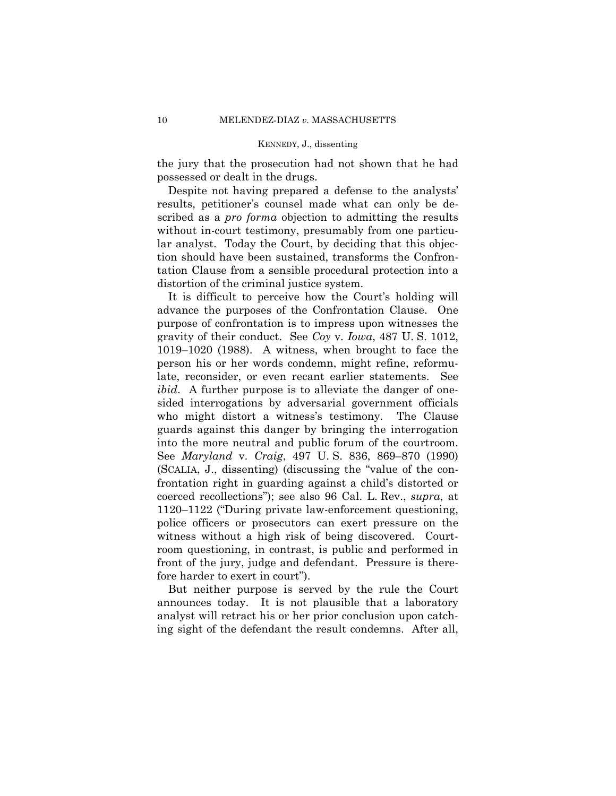the jury that the prosecution had not shown that he had possessed or dealt in the drugs.

Despite not having prepared a defense to the analysts' results, petitioner's counsel made what can only be described as a *pro forma* objection to admitting the results without in-court testimony, presumably from one particular analyst. Today the Court, by deciding that this objection should have been sustained, transforms the Confrontation Clause from a sensible procedural protection into a distortion of the criminal justice system.

It is difficult to perceive how the Court's holding will advance the purposes of the Confrontation Clause. One purpose of confrontation is to impress upon witnesses the gravity of their conduct. See *Coy* v. *Iowa*, 487 U. S. 1012, 1019–1020 (1988). A witness, when brought to face the person his or her words condemn, might refine, reformulate, reconsider, or even recant earlier statements. See *ibid*. A further purpose is to alleviate the danger of onesided interrogations by adversarial government officials who might distort a witness's testimony. The Clause guards against this danger by bringing the interrogation into the more neutral and public forum of the courtroom. See *Maryland* v. *Craig*, 497 U. S. 836, 869–870 (1990) (SCALIA, J., dissenting) (discussing the "value of the confrontation right in guarding against a child's distorted or coerced recollections"); see also 96 Cal. L. Rev., *supra*, at 1120–1122 ("During private law-enforcement questioning, police officers or prosecutors can exert pressure on the witness without a high risk of being discovered. Courtroom questioning, in contrast, is public and performed in front of the jury, judge and defendant. Pressure is therefore harder to exert in court").

But neither purpose is served by the rule the Court announces today. It is not plausible that a laboratory analyst will retract his or her prior conclusion upon catching sight of the defendant the result condemns. After all,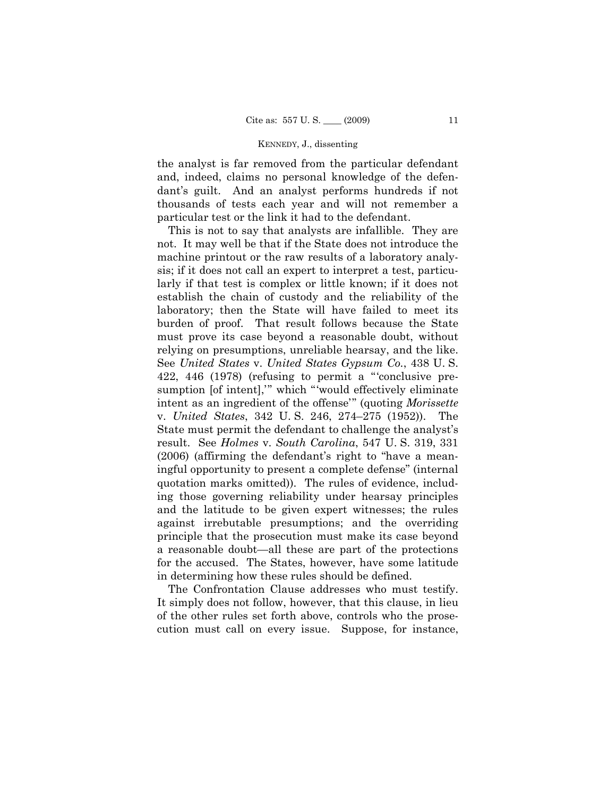the analyst is far removed from the particular defendant and, indeed, claims no personal knowledge of the defendant's guilt. And an analyst performs hundreds if not thousands of tests each year and will not remember a particular test or the link it had to the defendant.

This is not to say that analysts are infallible. They are not. It may well be that if the State does not introduce the machine printout or the raw results of a laboratory analysis; if it does not call an expert to interpret a test, particularly if that test is complex or little known; if it does not establish the chain of custody and the reliability of the laboratory; then the State will have failed to meet its burden of proof. That result follows because the State must prove its case beyond a reasonable doubt, without relying on presumptions, unreliable hearsay, and the like. See *United States* v. *United States Gypsum Co.*, 438 U. S. 422, 446 (1978) (refusing to permit a "'conclusive presumption [of intent],'" which "'would effectively eliminate intent as an ingredient of the offense'" (quoting *Morissette*  v. *United States*, 342 U. S. 246, 274–275 (1952)). The State must permit the defendant to challenge the analyst's result. See *Holmes* v. *South Carolina*, 547 U. S. 319, 331 (2006) (affirming the defendant's right to "have a meaningful opportunity to present a complete defense" (internal quotation marks omitted)). The rules of evidence, including those governing reliability under hearsay principles and the latitude to be given expert witnesses; the rules against irrebutable presumptions; and the overriding principle that the prosecution must make its case beyond a reasonable doubt—all these are part of the protections for the accused. The States, however, have some latitude in determining how these rules should be defined.

The Confrontation Clause addresses who must testify. It simply does not follow, however, that this clause, in lieu of the other rules set forth above, controls who the prosecution must call on every issue. Suppose, for instance,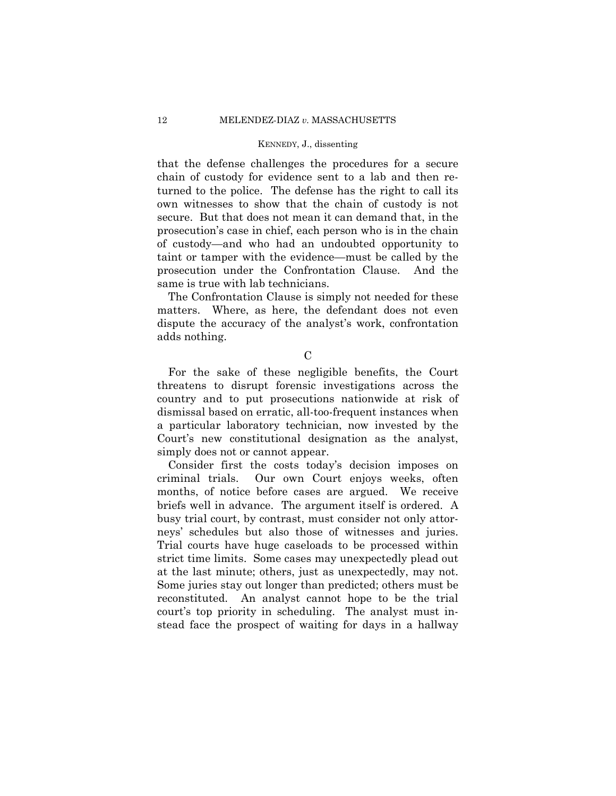that the defense challenges the procedures for a secure chain of custody for evidence sent to a lab and then returned to the police. The defense has the right to call its own witnesses to show that the chain of custody is not secure. But that does not mean it can demand that, in the prosecution's case in chief, each person who is in the chain of custody—and who had an undoubted opportunity to taint or tamper with the evidence—must be called by the prosecution under the Confrontation Clause. And the same is true with lab technicians.

The Confrontation Clause is simply not needed for these matters. Where, as here, the defendant does not even dispute the accuracy of the analyst's work, confrontation adds nothing.

 $\mathcal{C}$ 

For the sake of these negligible benefits, the Court threatens to disrupt forensic investigations across the country and to put prosecutions nationwide at risk of dismissal based on erratic, all-too-frequent instances when a particular laboratory technician, now invested by the Court's new constitutional designation as the analyst, simply does not or cannot appear.

Consider first the costs today's decision imposes on criminal trials. Our own Court enjoys weeks, often months, of notice before cases are argued. We receive briefs well in advance. The argument itself is ordered. A busy trial court, by contrast, must consider not only attorneys' schedules but also those of witnesses and juries. Trial courts have huge caseloads to be processed within strict time limits. Some cases may unexpectedly plead out at the last minute; others, just as unexpectedly, may not. Some juries stay out longer than predicted; others must be reconstituted. An analyst cannot hope to be the trial court's top priority in scheduling. The analyst must instead face the prospect of waiting for days in a hallway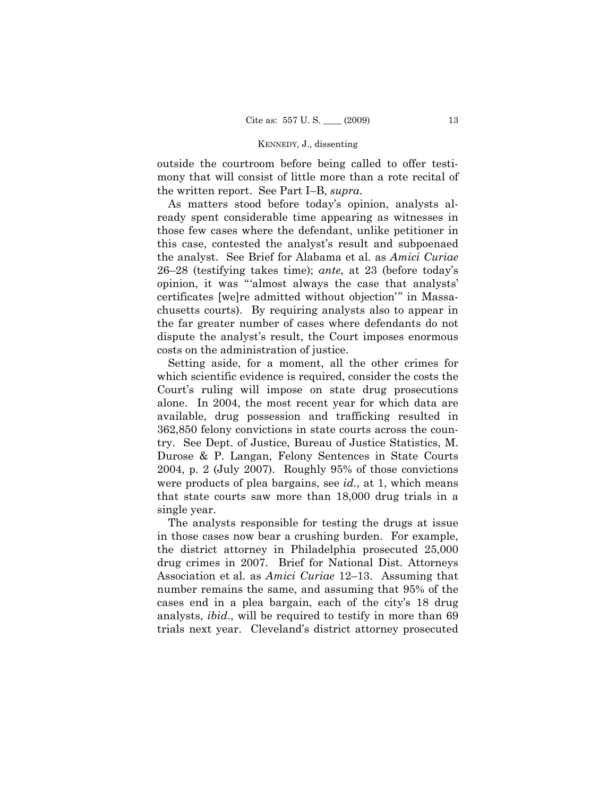outside the courtroom before being called to offer testimony that will consist of little more than a rote recital of the written report. See Part I–B, *supra*.

As matters stood before today's opinion, analysts already spent considerable time appearing as witnesses in those few cases where the defendant, unlike petitioner in this case, contested the analyst's result and subpoenaed the analyst. See Brief for Alabama et al. as *Amici Curiae*  26–28 (testifying takes time); *ante*, at 23 (before today's opinion, it was "'almost always the case that analysts' certificates [we]re admitted without objection'" in Massachusetts courts). By requiring analysts also to appear in the far greater number of cases where defendants do not dispute the analyst's result, the Court imposes enormous costs on the administration of justice.

Setting aside, for a moment, all the other crimes for which scientific evidence is required, consider the costs the Court's ruling will impose on state drug prosecutions alone. In 2004, the most recent year for which data are available, drug possession and trafficking resulted in 362,850 felony convictions in state courts across the country. See Dept. of Justice, Bureau of Justice Statistics, M. Durose & P. Langan, Felony Sentences in State Courts 2004, p. 2 (July 2007). Roughly 95% of those convictions were products of plea bargains, see *id.*, at 1, which means that state courts saw more than 18,000 drug trials in a single year.

The analysts responsible for testing the drugs at issue in those cases now bear a crushing burden. For example, the district attorney in Philadelphia prosecuted 25,000 drug crimes in 2007. Brief for National Dist. Attorneys Association et al. as *Amici Curiae* 12–13. Assuming that number remains the same, and assuming that 95% of the cases end in a plea bargain, each of the city's 18 drug analysts, *ibid*., will be required to testify in more than 69 trials next year. Cleveland's district attorney prosecuted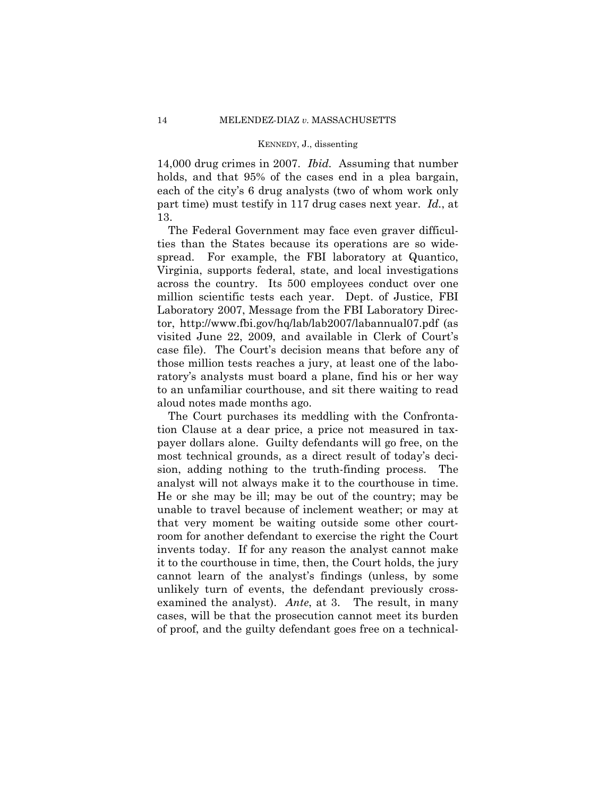14,000 drug crimes in 2007. *Ibid.* Assuming that number holds, and that 95% of the cases end in a plea bargain, each of the city's 6 drug analysts (two of whom work only part time) must testify in 117 drug cases next year. *Id.*, at 13.

The Federal Government may face even graver difficulties than the States because its operations are so widespread. For example, the FBI laboratory at Quantico, Virginia, supports federal, state, and local investigations across the country. Its 500 employees conduct over one million scientific tests each year. Dept. of Justice, FBI Laboratory 2007, Message from the FBI Laboratory Director, http://www.fbi.gov/hq/lab/lab2007/labannual07.pdf (as visited June 22, 2009, and available in Clerk of Court's case file). The Court's decision means that before any of those million tests reaches a jury, at least one of the laboratory's analysts must board a plane, find his or her way to an unfamiliar courthouse, and sit there waiting to read aloud notes made months ago.

The Court purchases its meddling with the Confrontation Clause at a dear price, a price not measured in taxpayer dollars alone. Guilty defendants will go free, on the most technical grounds, as a direct result of today's decision, adding nothing to the truth-finding process. The analyst will not always make it to the courthouse in time. He or she may be ill; may be out of the country; may be unable to travel because of inclement weather; or may at that very moment be waiting outside some other courtroom for another defendant to exercise the right the Court invents today. If for any reason the analyst cannot make it to the courthouse in time, then, the Court holds, the jury cannot learn of the analyst's findings (unless, by some unlikely turn of events, the defendant previously crossexamined the analyst). *Ante*, at 3. The result, in many cases, will be that the prosecution cannot meet its burden of proof, and the guilty defendant goes free on a technical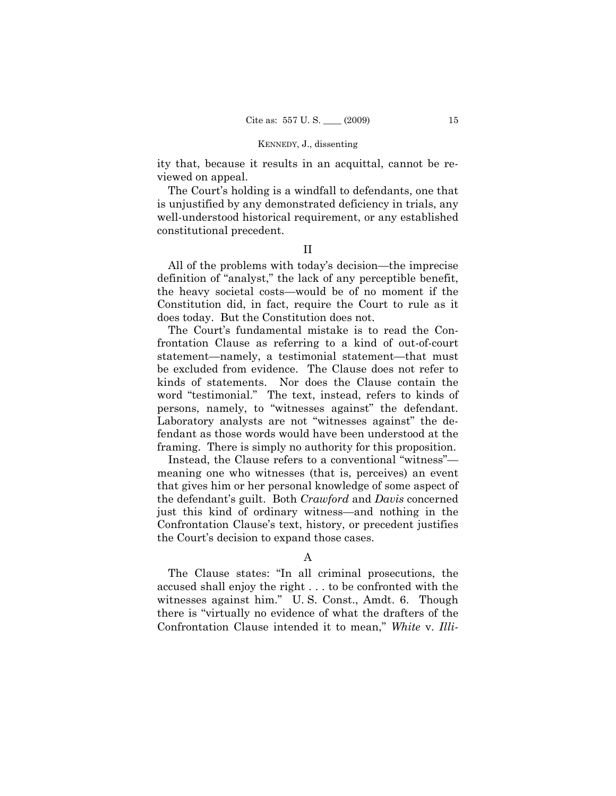ity that, because it results in an acquittal, cannot be reviewed on appeal.

The Court's holding is a windfall to defendants, one that is unjustified by any demonstrated deficiency in trials, any well-understood historical requirement, or any established constitutional precedent.

All of the problems with today's decision—the imprecise definition of "analyst," the lack of any perceptible benefit, the heavy societal costs—would be of no moment if the Constitution did, in fact, require the Court to rule as it does today. But the Constitution does not.

The Court's fundamental mistake is to read the Confrontation Clause as referring to a kind of out-of-court statement—namely, a testimonial statement—that must be excluded from evidence. The Clause does not refer to kinds of statements. Nor does the Clause contain the word "testimonial." The text, instead, refers to kinds of persons, namely, to "witnesses against" the defendant. Laboratory analysts are not "witnesses against" the defendant as those words would have been understood at the framing. There is simply no authority for this proposition.

Instead, the Clause refers to a conventional "witness" meaning one who witnesses (that is, perceives) an event that gives him or her personal knowledge of some aspect of the defendant's guilt. Both *Crawford* and *Davis* concerned just this kind of ordinary witness—and nothing in the Confrontation Clause's text, history, or precedent justifies the Court's decision to expand those cases.

The Clause states: "In all criminal prosecutions, the accused shall enjoy the right . . . to be confronted with the witnesses against him." U. S. Const., Amdt. 6. Though there is "virtually no evidence of what the drafters of the Confrontation Clause intended it to mean," *White* v. *Illi-*

II

A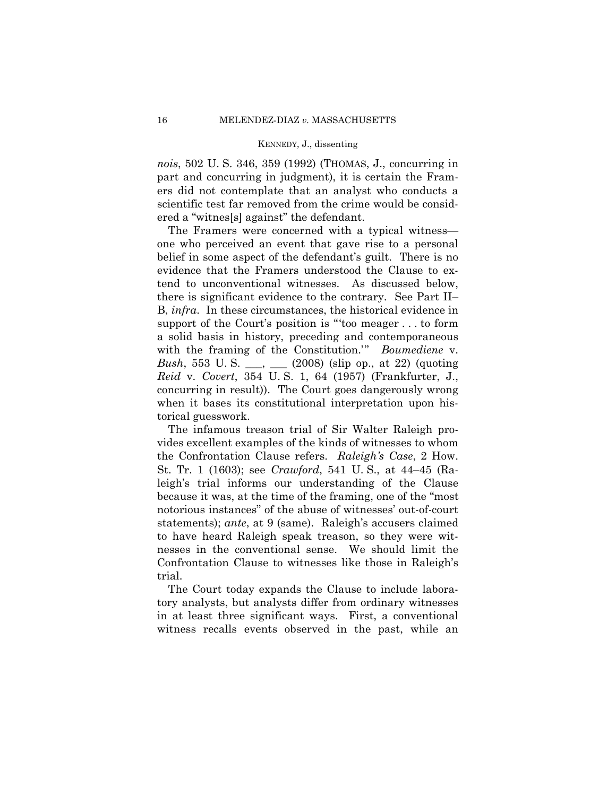*nois*, 502 U. S. 346, 359 (1992) (THOMAS, J., concurring in part and concurring in judgment), it is certain the Framers did not contemplate that an analyst who conducts a scientific test far removed from the crime would be considered a "witnes[s] against" the defendant.

The Framers were concerned with a typical witness one who perceived an event that gave rise to a personal belief in some aspect of the defendant's guilt. There is no evidence that the Framers understood the Clause to extend to unconventional witnesses. As discussed below, there is significant evidence to the contrary. See Part II– B, *infra*. In these circumstances, the historical evidence in support of the Court's position is "'too meager . . . to form a solid basis in history, preceding and contemporaneous with the framing of the Constitution.'" *Boumediene* v. *Bush*, 553 U.S. \_\_, \_\_ (2008) (slip op., at 22) (quoting *Reid* v. *Covert*, 354 U. S. 1, 64 (1957) (Frankfurter, J., concurring in result)). The Court goes dangerously wrong when it bases its constitutional interpretation upon historical guesswork.

The infamous treason trial of Sir Walter Raleigh provides excellent examples of the kinds of witnesses to whom the Confrontation Clause refers. *Raleigh's Case*, 2 How. St. Tr. 1 (1603); see *Crawford*, 541 U. S., at 44–45 (Raleigh's trial informs our understanding of the Clause because it was, at the time of the framing, one of the "most notorious instances" of the abuse of witnesses' out-of-court statements); *ante*, at 9 (same). Raleigh's accusers claimed to have heard Raleigh speak treason, so they were witnesses in the conventional sense. We should limit the Confrontation Clause to witnesses like those in Raleigh's trial.

The Court today expands the Clause to include laboratory analysts, but analysts differ from ordinary witnesses in at least three significant ways. First, a conventional witness recalls events observed in the past, while an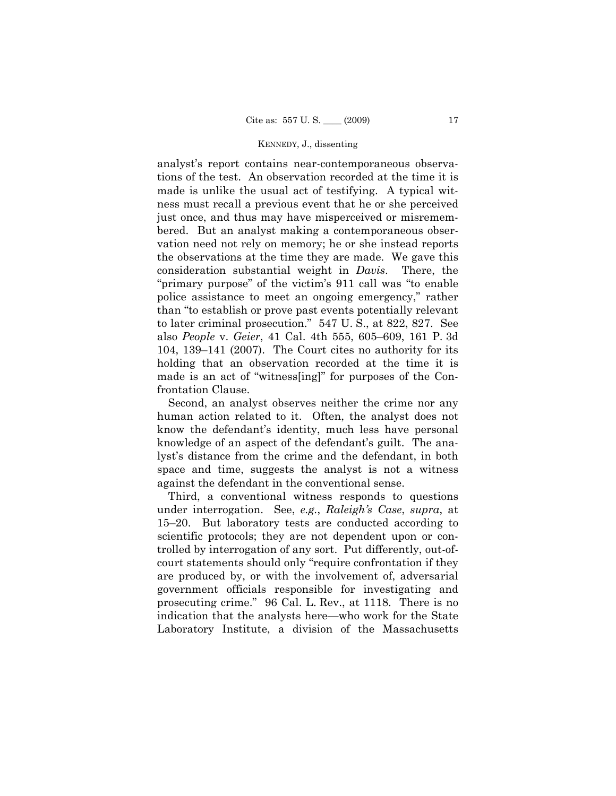analyst's report contains near-contemporaneous observations of the test. An observation recorded at the time it is made is unlike the usual act of testifying. A typical witness must recall a previous event that he or she perceived just once, and thus may have misperceived or misremembered. But an analyst making a contemporaneous observation need not rely on memory; he or she instead reports the observations at the time they are made. We gave this consideration substantial weight in *Davis*. There, the "primary purpose" of the victim's 911 call was "to enable police assistance to meet an ongoing emergency," rather than "to establish or prove past events potentially relevant to later criminal prosecution." 547 U. S., at 822, 827. See also *People* v. *Geier*, 41 Cal. 4th 555, 605–609, 161 P. 3d 104, 139–141 (2007). The Court cites no authority for its holding that an observation recorded at the time it is made is an act of "witness[ing]" for purposes of the Confrontation Clause.

Second, an analyst observes neither the crime nor any human action related to it. Often, the analyst does not know the defendant's identity, much less have personal knowledge of an aspect of the defendant's guilt. The analyst's distance from the crime and the defendant, in both space and time, suggests the analyst is not a witness against the defendant in the conventional sense.

Third, a conventional witness responds to questions under interrogation. See, *e.g.*, *Raleigh's Case*, *supra*, at 15–20. But laboratory tests are conducted according to scientific protocols; they are not dependent upon or controlled by interrogation of any sort. Put differently, out-ofcourt statements should only "require confrontation if they are produced by, or with the involvement of, adversarial government officials responsible for investigating and prosecuting crime." 96 Cal. L. Rev., at 1118. There is no indication that the analysts here—who work for the State Laboratory Institute, a division of the Massachusetts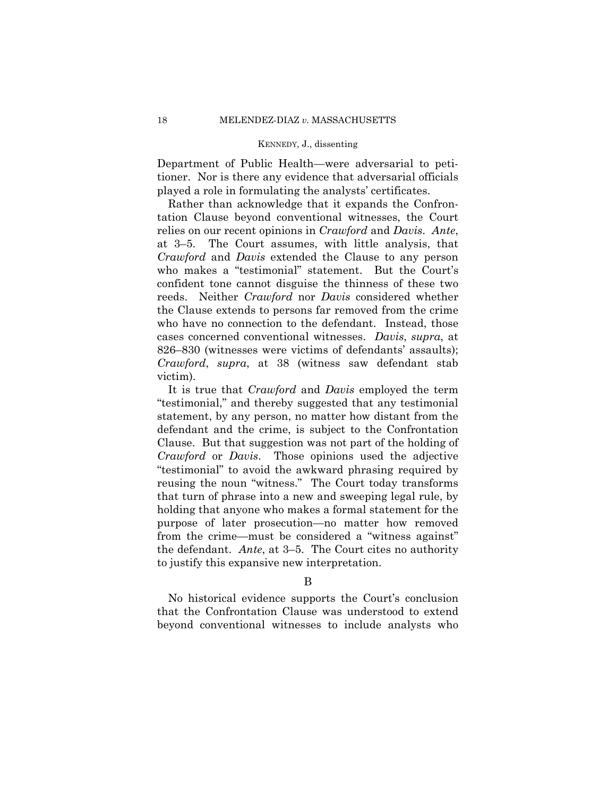Department of Public Health—were adversarial to petitioner. Nor is there any evidence that adversarial officials played a role in formulating the analysts' certificates.

Rather than acknowledge that it expands the Confrontation Clause beyond conventional witnesses, the Court relies on our recent opinions in *Crawford* and *Davis*. *Ante*, at 3–5. The Court assumes, with little analysis, that *Crawford* and *Davis* extended the Clause to any person who makes a "testimonial" statement. But the Court's confident tone cannot disguise the thinness of these two reeds. Neither *Crawford* nor *Davis* considered whether the Clause extends to persons far removed from the crime who have no connection to the defendant. Instead, those cases concerned conventional witnesses. *Davis*, *supra*, at 826–830 (witnesses were victims of defendants' assaults); *Crawford*, *supra*, at 38 (witness saw defendant stab victim).

It is true that *Crawford* and *Davis* employed the term "testimonial," and thereby suggested that any testimonial statement, by any person, no matter how distant from the defendant and the crime, is subject to the Confrontation Clause. But that suggestion was not part of the holding of *Crawford* or *Davis*. Those opinions used the adjective "testimonial" to avoid the awkward phrasing required by reusing the noun "witness." The Court today transforms that turn of phrase into a new and sweeping legal rule, by holding that anyone who makes a formal statement for the purpose of later prosecution—no matter how removed from the crime—must be considered a "witness against" the defendant. *Ante*, at 3–5. The Court cites no authority to justify this expansive new interpretation.

No historical evidence supports the Court's conclusion that the Confrontation Clause was understood to extend beyond conventional witnesses to include analysts who

B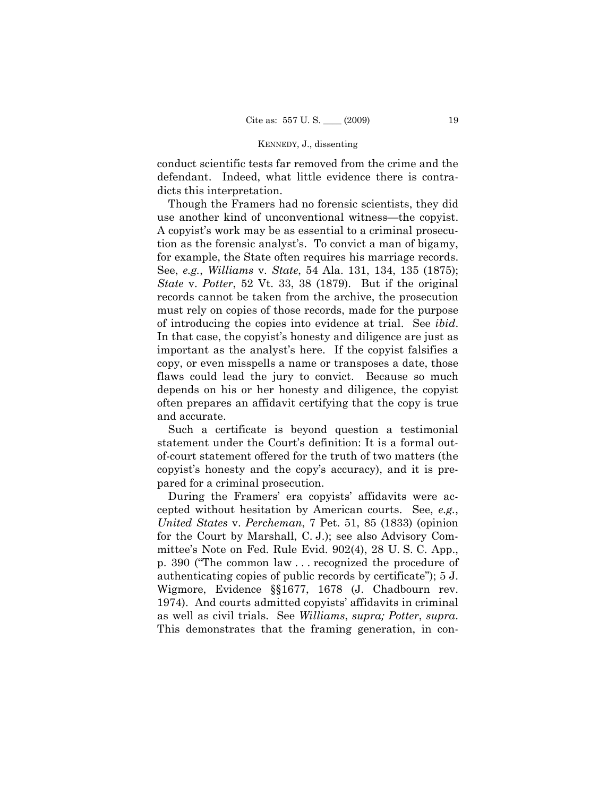conduct scientific tests far removed from the crime and the defendant. Indeed, what little evidence there is contradicts this interpretation.

Though the Framers had no forensic scientists, they did use another kind of unconventional witness—the copyist. A copyist's work may be as essential to a criminal prosecution as the forensic analyst's. To convict a man of bigamy, for example, the State often requires his marriage records. See, *e.g.*, *Williams* v. *State*, 54 Ala. 131, 134, 135 (1875); *State* v. *Potter*, 52 Vt. 33, 38 (1879). But if the original records cannot be taken from the archive, the prosecution must rely on copies of those records, made for the purpose of introducing the copies into evidence at trial. See *ibid*. In that case, the copyist's honesty and diligence are just as important as the analyst's here. If the copyist falsifies a copy, or even misspells a name or transposes a date, those flaws could lead the jury to convict. Because so much depends on his or her honesty and diligence, the copyist often prepares an affidavit certifying that the copy is true and accurate.

Such a certificate is beyond question a testimonial statement under the Court's definition: It is a formal outof-court statement offered for the truth of two matters (the copyist's honesty and the copy's accuracy), and it is prepared for a criminal prosecution.

During the Framers' era copyists' affidavits were accepted without hesitation by American courts. See, *e.g.*, *United States* v. *Percheman*, 7 Pet. 51, 85 (1833) (opinion for the Court by Marshall, C. J.); see also Advisory Committee's Note on Fed. Rule Evid. 902(4), 28 U. S. C. App., p. 390 ("The common law . . . recognized the procedure of authenticating copies of public records by certificate"); 5 J. Wigmore, Evidence §§1677, 1678 (J. Chadbourn rev. 1974). And courts admitted copyists' affidavits in criminal as well as civil trials. See *Williams*, *supra; Potter*, *supra*. This demonstrates that the framing generation, in con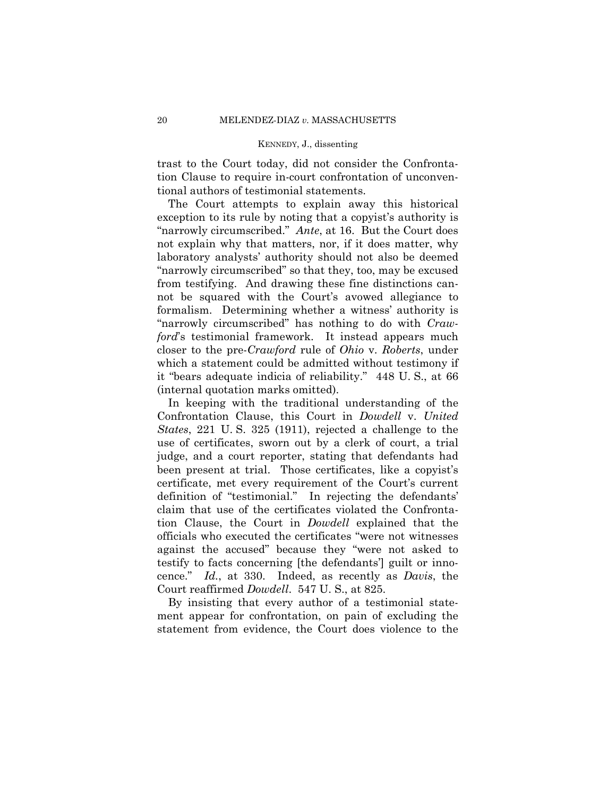trast to the Court today, did not consider the Confrontation Clause to require in-court confrontation of unconventional authors of testimonial statements.

The Court attempts to explain away this historical exception to its rule by noting that a copyist's authority is "narrowly circumscribed." *Ante*, at 16. But the Court does not explain why that matters, nor, if it does matter, why laboratory analysts' authority should not also be deemed "narrowly circumscribed" so that they, too, may be excused from testifying. And drawing these fine distinctions cannot be squared with the Court's avowed allegiance to formalism. Determining whether a witness' authority is "narrowly circumscribed" has nothing to do with *Crawford*'s testimonial framework. It instead appears much closer to the pre-*Crawford* rule of *Ohio* v. *Roberts*, under which a statement could be admitted without testimony if it "bears adequate indicia of reliability." 448 U. S., at 66 (internal quotation marks omitted).

In keeping with the traditional understanding of the Confrontation Clause, this Court in *Dowdell* v. *United States*, 221 U. S. 325 (1911), rejected a challenge to the use of certificates, sworn out by a clerk of court, a trial judge, and a court reporter, stating that defendants had been present at trial. Those certificates, like a copyist's certificate, met every requirement of the Court's current definition of "testimonial." In rejecting the defendants' claim that use of the certificates violated the Confrontation Clause, the Court in *Dowdell* explained that the officials who executed the certificates "were not witnesses against the accused" because they "were not asked to testify to facts concerning [the defendants'] guilt or innocence." *Id.*, at 330. Indeed, as recently as *Davis*, the Court reaffirmed *Dowdell*. 547 U. S., at 825.

By insisting that every author of a testimonial statement appear for confrontation, on pain of excluding the statement from evidence, the Court does violence to the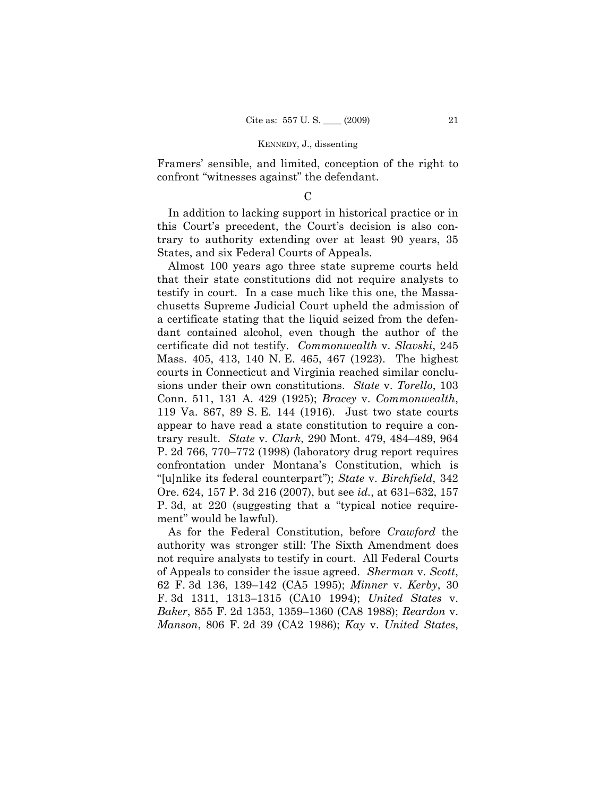Framers' sensible, and limited, conception of the right to confront "witnesses against" the defendant.

## $\mathcal{C}$

In addition to lacking support in historical practice or in this Court's precedent, the Court's decision is also contrary to authority extending over at least 90 years, 35 States, and six Federal Courts of Appeals.

Almost 100 years ago three state supreme courts held that their state constitutions did not require analysts to testify in court. In a case much like this one, the Massachusetts Supreme Judicial Court upheld the admission of a certificate stating that the liquid seized from the defendant contained alcohol, even though the author of the certificate did not testify. *Commonwealth* v. *Slavski*, 245 Mass. 405, 413, 140 N. E. 465, 467 (1923). The highest courts in Connecticut and Virginia reached similar conclusions under their own constitutions. *State* v. *Torello*, 103 Conn. 511, 131 A. 429 (1925); *Bracey* v. *Commonwealth*, 119 Va. 867, 89 S. E. 144 (1916). Just two state courts appear to have read a state constitution to require a contrary result. *State* v. *Clark*, 290 Mont. 479, 484–489, 964 P. 2d 766, 770–772 (1998) (laboratory drug report requires confrontation under Montana's Constitution, which is "[u]nlike its federal counterpart"); *State* v. *Birchfield*, 342 Ore. 624, 157 P. 3d 216 (2007), but see *id.*, at 631–632, 157 P. 3d, at 220 (suggesting that a "typical notice requirement" would be lawful).

As for the Federal Constitution, before *Crawford* the authority was stronger still: The Sixth Amendment does not require analysts to testify in court. All Federal Courts of Appeals to consider the issue agreed. *Sherman* v. *Scott*, 62 F. 3d 136, 139–142 (CA5 1995); *Minner* v. *Kerby*, 30 F. 3d 1311, 1313–1315 (CA10 1994); *United States* v. *Baker*, 855 F. 2d 1353, 1359–1360 (CA8 1988); *Reardon* v. *Manson*, 806 F. 2d 39 (CA2 1986); *Kay* v. *United States*,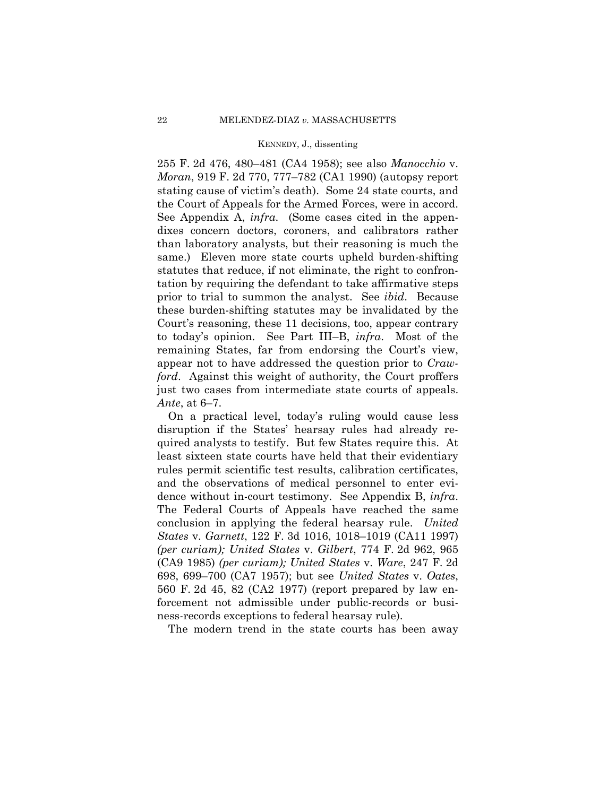255 F. 2d 476, 480–481 (CA4 1958); see also *Manocchio* v. *Moran*, 919 F. 2d 770, 777–782 (CA1 1990) (autopsy report stating cause of victim's death). Some 24 state courts, and the Court of Appeals for the Armed Forces, were in accord. See Appendix A, *infra*. (Some cases cited in the appendixes concern doctors, coroners, and calibrators rather than laboratory analysts, but their reasoning is much the same.) Eleven more state courts upheld burden-shifting statutes that reduce, if not eliminate, the right to confrontation by requiring the defendant to take affirmative steps prior to trial to summon the analyst. See *ibid*. Because these burden-shifting statutes may be invalidated by the Court's reasoning, these 11 decisions, too, appear contrary to today's opinion. See Part III–B, *infra*. Most of the remaining States, far from endorsing the Court's view, appear not to have addressed the question prior to *Crawford*. Against this weight of authority, the Court proffers just two cases from intermediate state courts of appeals. *Ante*, at 6–7.

On a practical level, today's ruling would cause less disruption if the States' hearsay rules had already required analysts to testify. But few States require this. At least sixteen state courts have held that their evidentiary rules permit scientific test results, calibration certificates, and the observations of medical personnel to enter evidence without in-court testimony. See Appendix B, *infra*. The Federal Courts of Appeals have reached the same conclusion in applying the federal hearsay rule. *United States* v. *Garnett*, 122 F. 3d 1016, 1018–1019 (CA11 1997) *(per curiam); United States* v. *Gilbert*, 774 F. 2d 962, 965 (CA9 1985) *(per curiam); United States* v. *Ware*, 247 F. 2d 698, 699–700 (CA7 1957); but see *United States* v. *Oates*, 560 F. 2d 45, 82 (CA2 1977) (report prepared by law enforcement not admissible under public-records or business-records exceptions to federal hearsay rule).

The modern trend in the state courts has been away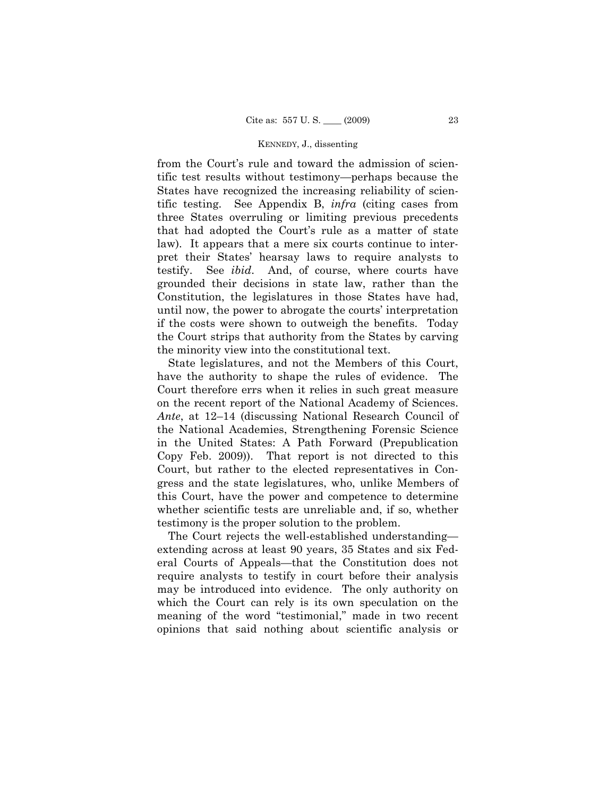from the Court's rule and toward the admission of scientific test results without testimony—perhaps because the States have recognized the increasing reliability of scientific testing. See Appendix B, *infra* (citing cases from three States overruling or limiting previous precedents that had adopted the Court's rule as a matter of state law). It appears that a mere six courts continue to interpret their States' hearsay laws to require analysts to testify. See *ibid*. And, of course, where courts have grounded their decisions in state law, rather than the Constitution, the legislatures in those States have had, until now, the power to abrogate the courts' interpretation if the costs were shown to outweigh the benefits. Today the Court strips that authority from the States by carving the minority view into the constitutional text.

State legislatures, and not the Members of this Court, have the authority to shape the rules of evidence. The Court therefore errs when it relies in such great measure on the recent report of the National Academy of Sciences. *Ante*, at 12–14 (discussing National Research Council of the National Academies, Strengthening Forensic Science in the United States: A Path Forward (Prepublication Copy Feb. 2009)). That report is not directed to this Court, but rather to the elected representatives in Congress and the state legislatures, who, unlike Members of this Court, have the power and competence to determine whether scientific tests are unreliable and, if so, whether testimony is the proper solution to the problem.

The Court rejects the well-established understanding extending across at least 90 years, 35 States and six Federal Courts of Appeals—that the Constitution does not require analysts to testify in court before their analysis may be introduced into evidence. The only authority on which the Court can rely is its own speculation on the meaning of the word "testimonial," made in two recent opinions that said nothing about scientific analysis or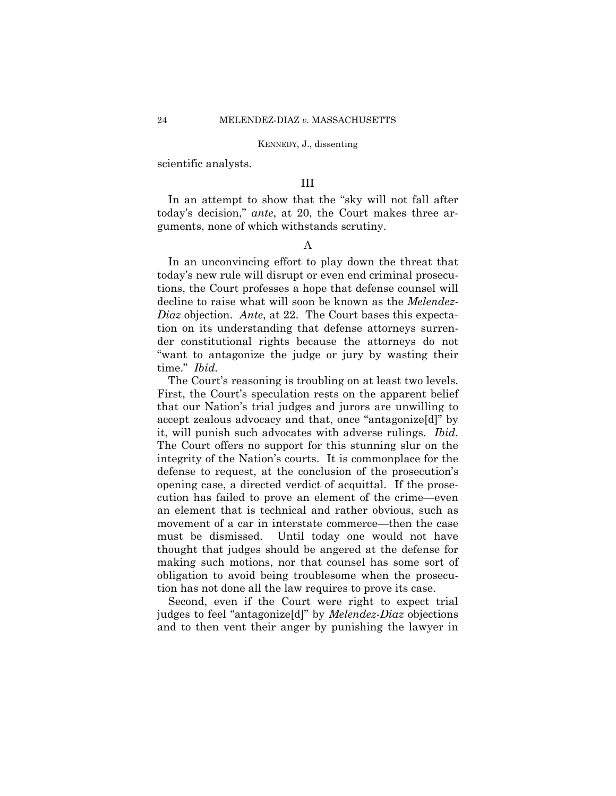scientific analysts.

## III

In an attempt to show that the "sky will not fall after today's decision," *ante*, at 20, the Court makes three arguments, none of which withstands scrutiny.

## A

In an unconvincing effort to play down the threat that today's new rule will disrupt or even end criminal prosecutions, the Court professes a hope that defense counsel will decline to raise what will soon be known as the *Melendez-Diaz* objection. *Ante*, at 22. The Court bases this expectation on its understanding that defense attorneys surrender constitutional rights because the attorneys do not "want to antagonize the judge or jury by wasting their time." *Ibid.* 

The Court's reasoning is troubling on at least two levels. First, the Court's speculation rests on the apparent belief that our Nation's trial judges and jurors are unwilling to accept zealous advocacy and that, once "antagonize[d]" by it, will punish such advocates with adverse rulings. *Ibid*. The Court offers no support for this stunning slur on the integrity of the Nation's courts. It is commonplace for the defense to request, at the conclusion of the prosecution's opening case, a directed verdict of acquittal. If the prosecution has failed to prove an element of the crime—even an element that is technical and rather obvious, such as movement of a car in interstate commerce—then the case must be dismissed. Until today one would not have thought that judges should be angered at the defense for making such motions, nor that counsel has some sort of obligation to avoid being troublesome when the prosecution has not done all the law requires to prove its case.

Second, even if the Court were right to expect trial judges to feel "antagonize[d]" by *Melendez-Diaz* objections and to then vent their anger by punishing the lawyer in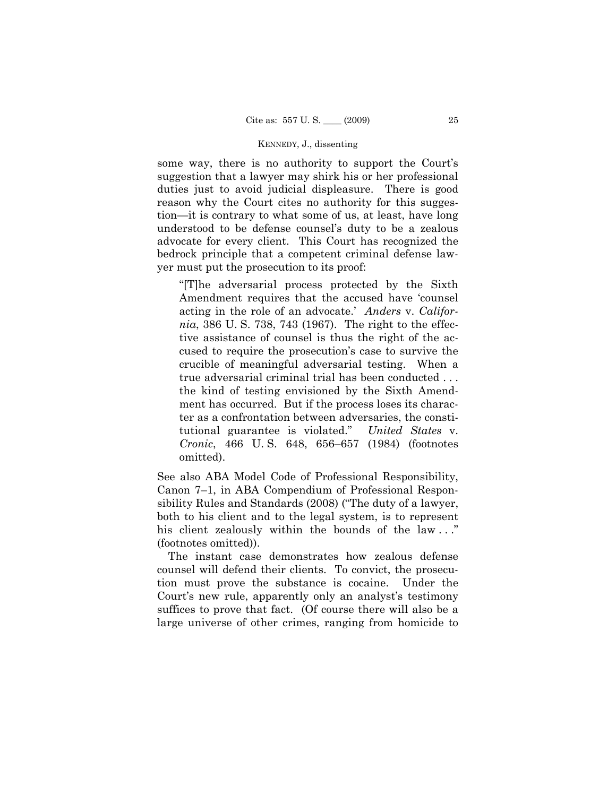some way, there is no authority to support the Court's suggestion that a lawyer may shirk his or her professional duties just to avoid judicial displeasure. There is good reason why the Court cites no authority for this suggestion—it is contrary to what some of us, at least, have long understood to be defense counsel's duty to be a zealous advocate for every client. This Court has recognized the bedrock principle that a competent criminal defense lawyer must put the prosecution to its proof:

"[T]he adversarial process protected by the Sixth Amendment requires that the accused have 'counsel acting in the role of an advocate.' *Anders* v. *California*, 386 U. S. 738, 743 (1967). The right to the effective assistance of counsel is thus the right of the accused to require the prosecution's case to survive the crucible of meaningful adversarial testing. When a true adversarial criminal trial has been conducted . . . the kind of testing envisioned by the Sixth Amendment has occurred. But if the process loses its character as a confrontation between adversaries, the constitutional guarantee is violated." *United States* v. *Cronic*, 466 U. S. 648, 656–657 (1984) (footnotes omitted).

See also ABA Model Code of Professional Responsibility, Canon 7–1, in ABA Compendium of Professional Responsibility Rules and Standards (2008) ("The duty of a lawyer, both to his client and to the legal system, is to represent his client zealously within the bounds of the law ..." (footnotes omitted)).

The instant case demonstrates how zealous defense counsel will defend their clients. To convict, the prosecution must prove the substance is cocaine. Under the Court's new rule, apparently only an analyst's testimony suffices to prove that fact. (Of course there will also be a large universe of other crimes, ranging from homicide to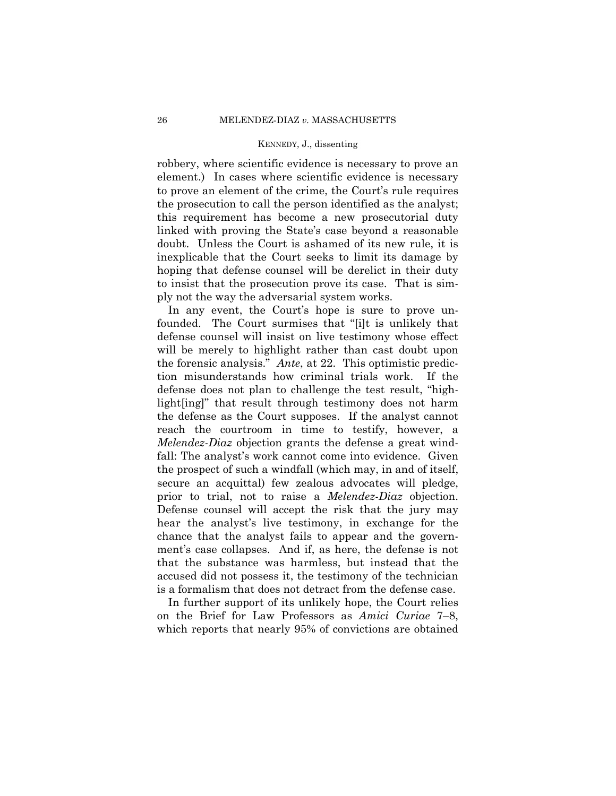robbery, where scientific evidence is necessary to prove an element.) In cases where scientific evidence is necessary to prove an element of the crime, the Court's rule requires the prosecution to call the person identified as the analyst; this requirement has become a new prosecutorial duty linked with proving the State's case beyond a reasonable doubt. Unless the Court is ashamed of its new rule, it is inexplicable that the Court seeks to limit its damage by hoping that defense counsel will be derelict in their duty to insist that the prosecution prove its case. That is simply not the way the adversarial system works.

In any event, the Court's hope is sure to prove unfounded. The Court surmises that "[i]t is unlikely that defense counsel will insist on live testimony whose effect will be merely to highlight rather than cast doubt upon the forensic analysis." *Ante*, at 22. This optimistic prediction misunderstands how criminal trials work. If the defense does not plan to challenge the test result, "highlight[ing]" that result through testimony does not harm the defense as the Court supposes. If the analyst cannot reach the courtroom in time to testify, however, a *Melendez-Diaz* objection grants the defense a great windfall: The analyst's work cannot come into evidence. Given the prospect of such a windfall (which may, in and of itself, secure an acquittal) few zealous advocates will pledge, prior to trial, not to raise a *Melendez-Diaz* objection. Defense counsel will accept the risk that the jury may hear the analyst's live testimony, in exchange for the chance that the analyst fails to appear and the government's case collapses. And if, as here, the defense is not that the substance was harmless, but instead that the accused did not possess it, the testimony of the technician is a formalism that does not detract from the defense case.

In further support of its unlikely hope, the Court relies on the Brief for Law Professors as *Amici Curiae* 7–8, which reports that nearly 95% of convictions are obtained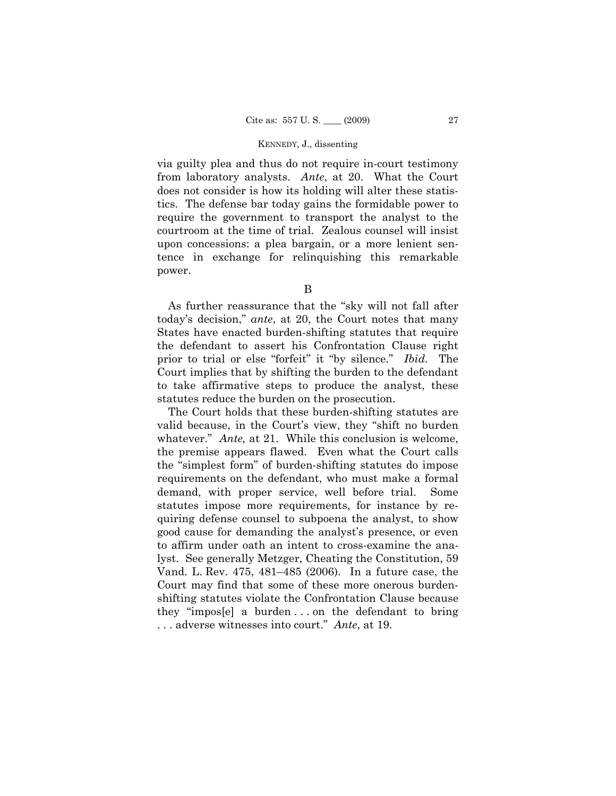via guilty plea and thus do not require in-court testimony from laboratory analysts. *Ante*, at 20. What the Court does not consider is how its holding will alter these statistics. The defense bar today gains the formidable power to require the government to transport the analyst to the courtroom at the time of trial. Zealous counsel will insist upon concessions: a plea bargain, or a more lenient sentence in exchange for relinquishing this remarkable power.

As further reassurance that the "sky will not fall after today's decision," *ante*, at 20, the Court notes that many States have enacted burden-shifting statutes that require the defendant to assert his Confrontation Clause right prior to trial or else "forfeit" it "by silence." *Ibid.* The Court implies that by shifting the burden to the defendant to take affirmative steps to produce the analyst, these statutes reduce the burden on the prosecution.

The Court holds that these burden-shifting statutes are valid because, in the Court's view, they "shift no burden whatever." *Ante*, at 21. While this conclusion is welcome, the premise appears flawed. Even what the Court calls the "simplest form" of burden-shifting statutes do impose requirements on the defendant, who must make a formal demand, with proper service, well before trial. Some statutes impose more requirements, for instance by requiring defense counsel to subpoena the analyst, to show good cause for demanding the analyst's presence, or even to affirm under oath an intent to cross-examine the analyst. See generally Metzger, Cheating the Constitution, 59 Vand. L. Rev. 475, 481–485 (2006). In a future case, the Court may find that some of these more onerous burdenshifting statutes violate the Confrontation Clause because they "impos[e] a burden . . . on the defendant to bring . . . adverse witnesses into court." *Ante*, at 19.

B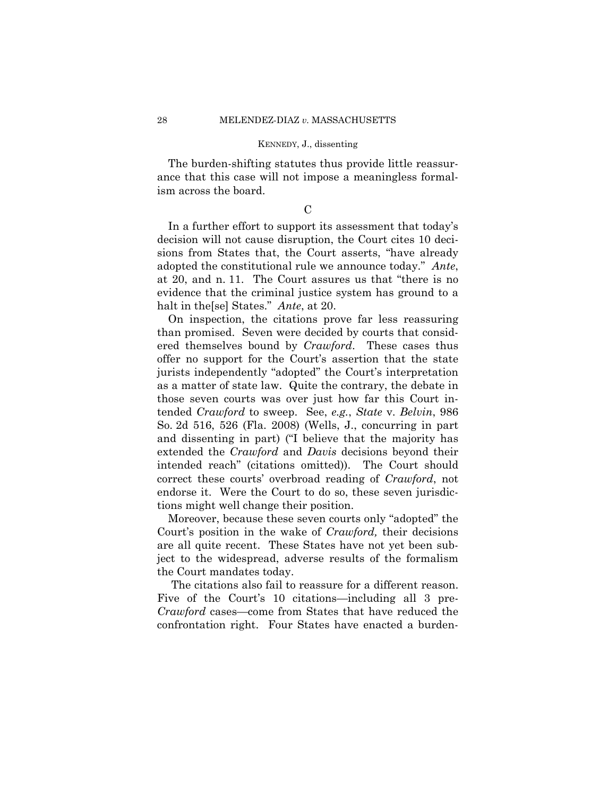The burden-shifting statutes thus provide little reassurance that this case will not impose a meaningless formalism across the board.

 $\mathcal{C}$ 

In a further effort to support its assessment that today's decision will not cause disruption, the Court cites 10 decisions from States that, the Court asserts, "have already adopted the constitutional rule we announce today." *Ante*, at 20, and n. 11. The Court assures us that "there is no evidence that the criminal justice system has ground to a halt in the[se] States." *Ante*, at 20.

On inspection, the citations prove far less reassuring than promised. Seven were decided by courts that considered themselves bound by *Crawford*. These cases thus offer no support for the Court's assertion that the state jurists independently "adopted" the Court's interpretation as a matter of state law. Quite the contrary, the debate in those seven courts was over just how far this Court intended *Crawford* to sweep. See, *e.g.*, *State* v. *Belvin*, 986 So. 2d 516, 526 (Fla. 2008) (Wells, J., concurring in part and dissenting in part) ("I believe that the majority has extended the *Crawford* and *Davis* decisions beyond their intended reach" (citations omitted)). The Court should correct these courts' overbroad reading of *Crawford*, not endorse it. Were the Court to do so, these seven jurisdictions might well change their position.

Moreover, because these seven courts only "adopted" the Court's position in the wake of *Crawford,* their decisions are all quite recent. These States have not yet been subject to the widespread, adverse results of the formalism the Court mandates today.

The citations also fail to reassure for a different reason. Five of the Court's 10 citations—including all 3 pre-*Crawford* cases—come from States that have reduced the confrontation right. Four States have enacted a burden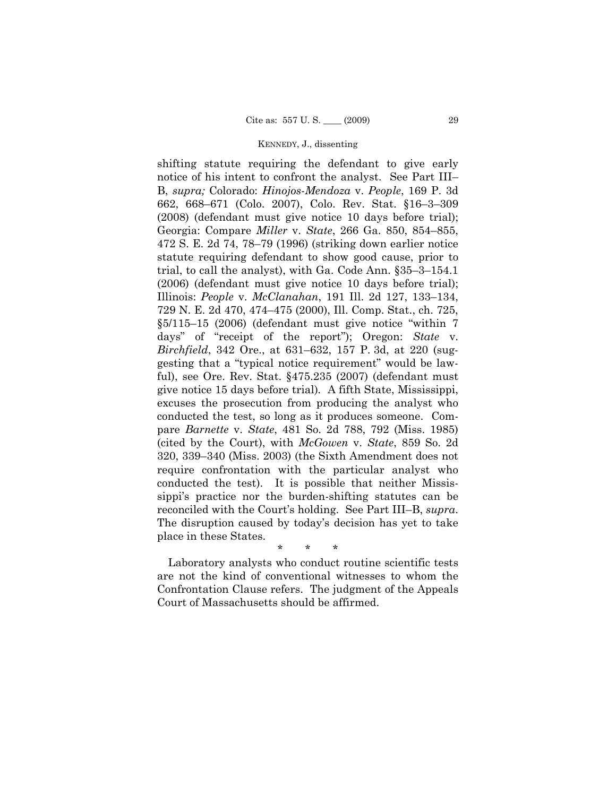shifting statute requiring the defendant to give early notice of his intent to confront the analyst. See Part III– B, *supra;* Colorado: *Hinojos-Mendoza* v. *People*, 169 P. 3d 662, 668–671 (Colo. 2007), Colo. Rev. Stat. §16–3–309 (2008) (defendant must give notice 10 days before trial); Georgia: Compare *Miller* v. *State*, 266 Ga. 850, 854–855, 472 S. E. 2d 74, 78–79 (1996) (striking down earlier notice statute requiring defendant to show good cause, prior to trial, to call the analyst), with Ga. Code Ann. §35–3–154.1 (2006) (defendant must give notice 10 days before trial); Illinois: *People* v. *McClanahan*, 191 Ill. 2d 127, 133–134, 729 N. E. 2d 470, 474–475 (2000), Ill. Comp. Stat., ch. 725, §5/115–15 (2006) (defendant must give notice "within 7 days" of "receipt of the report"); Oregon: *State* v. *Birchfield*, 342 Ore., at 631–632, 157 P. 3d, at 220 (suggesting that a "typical notice requirement" would be lawful), see Ore. Rev. Stat. §475.235 (2007) (defendant must give notice 15 days before trial)*.* A fifth State, Mississippi, excuses the prosecution from producing the analyst who conducted the test, so long as it produces someone. Compare *Barnette* v. *State*, 481 So. 2d 788, 792 (Miss. 1985) (cited by the Court), with *McGowen* v. *State*, 859 So. 2d 320, 339–340 (Miss. 2003) (the Sixth Amendment does not require confrontation with the particular analyst who conducted the test). It is possible that neither Mississippi's practice nor the burden-shifting statutes can be reconciled with the Court's holding. See Part III–B, *supra*. The disruption caused by today's decision has yet to take place in these States.

## \* \* \*

Laboratory analysts who conduct routine scientific tests are not the kind of conventional witnesses to whom the Confrontation Clause refers. The judgment of the Appeals Court of Massachusetts should be affirmed.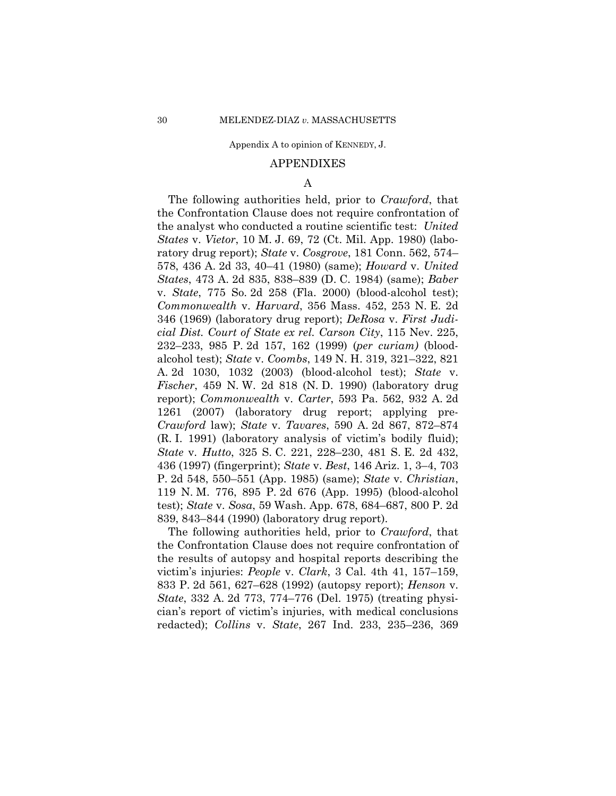## APPENDIXES

## A

The following authorities held, prior to *Crawford*, that the Confrontation Clause does not require confrontation of the analyst who conducted a routine scientific test: *United States* v. *Vietor*, 10 M. J. 69, 72 (Ct. Mil. App. 1980) (laboratory drug report); *State* v. *Cosgrove*, 181 Conn. 562, 574– 578, 436 A. 2d 33, 40–41 (1980) (same); *Howard* v. *United States*, 473 A. 2d 835, 838–839 (D. C. 1984) (same); *Baber*  v. *State*, 775 So. 2d 258 (Fla. 2000) (blood-alcohol test); *Commonwealth* v. *Harvard*, 356 Mass. 452, 253 N. E. 2d 346 (1969) (laboratory drug report); *DeRosa* v. *First Judicial Dist. Court of State ex rel. Carson City*, 115 Nev. 225, 232–233, 985 P. 2d 157, 162 (1999) (*per curiam)* (bloodalcohol test); *State* v. *Coombs*, 149 N. H. 319, 321–322, 821 A. 2d 1030, 1032 (2003) (blood-alcohol test); *State* v. *Fischer*, 459 N. W. 2d 818 (N. D. 1990) (laboratory drug report); *Commonwealth* v. *Carter*, 593 Pa. 562, 932 A. 2d 1261 (2007) (laboratory drug report; applying pre-*Crawford* law); *State* v. *Tavares*, 590 A. 2d 867, 872–874 (R. I. 1991) (laboratory analysis of victim's bodily fluid); *State* v. *Hutto*, 325 S. C. 221, 228–230, 481 S. E. 2d 432, 436 (1997) (fingerprint); *State* v. *Best*, 146 Ariz. 1, 3–4, 703 P. 2d 548, 550–551 (App. 1985) (same); *State* v. *Christian*, 119 N. M. 776, 895 P. 2d 676 (App. 1995) (blood-alcohol test); *State* v. *Sosa*, 59 Wash. App. 678, 684–687, 800 P. 2d 839, 843–844 (1990) (laboratory drug report).

The following authorities held, prior to *Crawford*, that the Confrontation Clause does not require confrontation of the results of autopsy and hospital reports describing the victim's injuries: *People* v. *Clark*, 3 Cal. 4th 41, 157–159, 833 P. 2d 561, 627–628 (1992) (autopsy report); *Henson* v. *State*, 332 A. 2d 773, 774–776 (Del. 1975) (treating physician's report of victim's injuries, with medical conclusions redacted); *Collins* v. *State*, 267 Ind. 233, 235–236, 369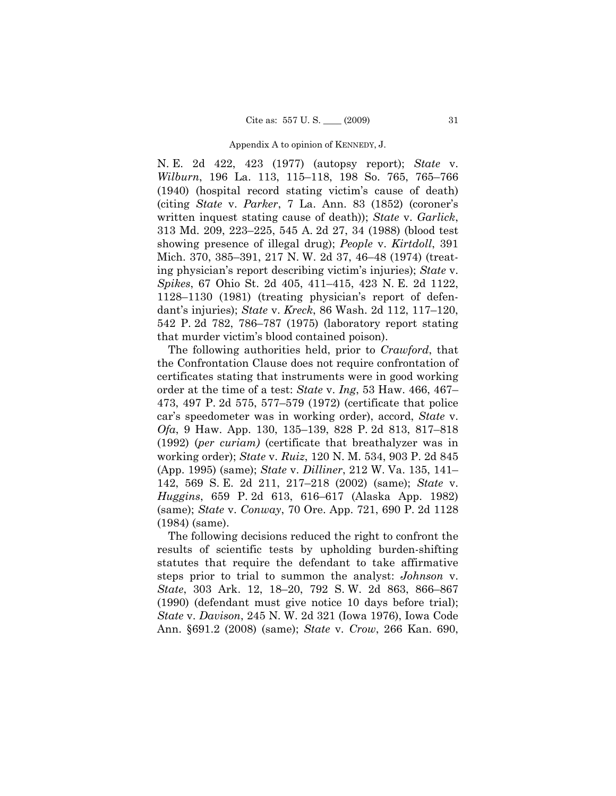N. E. 2d 422, 423 (1977) (autopsy report); *State* v. *Wilburn*, 196 La. 113, 115–118, 198 So. 765, 765–766 (1940) (hospital record stating victim's cause of death) (citing *State* v. *Parker*, 7 La. Ann. 83 (1852) (coroner's written inquest stating cause of death)); *State* v. *Garlick*, 313 Md. 209, 223–225, 545 A. 2d 27, 34 (1988) (blood test showing presence of illegal drug); *People* v. *Kirtdoll*, 391 Mich. 370, 385–391, 217 N. W. 2d 37, 46–48 (1974) (treating physician's report describing victim's injuries); *State* v. *Spikes*, 67 Ohio St. 2d 405, 411–415, 423 N. E. 2d 1122, 1128–1130 (1981) (treating physician's report of defendant's injuries); *State* v. *Kreck*, 86 Wash. 2d 112, 117–120, 542 P. 2d 782, 786–787 (1975) (laboratory report stating that murder victim's blood contained poison).

The following authorities held, prior to *Crawford*, that the Confrontation Clause does not require confrontation of certificates stating that instruments were in good working order at the time of a test: *State* v. *Ing*, 53 Haw. 466, 467– 473, 497 P. 2d 575, 577–579 (1972) (certificate that police car's speedometer was in working order), accord, *State* v. *Ofa*, 9 Haw. App. 130, 135–139, 828 P. 2d 813, 817–818 (1992) (*per curiam)* (certificate that breathalyzer was in working order); *State* v. *Ruiz*, 120 N. M. 534, 903 P. 2d 845 (App. 1995) (same); *State* v. *Dilliner*, 212 W. Va. 135, 141– 142, 569 S. E. 2d 211, 217–218 (2002) (same); *State* v. *Huggins*, 659 P. 2d 613, 616–617 (Alaska App. 1982) (same); *State* v. *Conway*, 70 Ore. App. 721, 690 P. 2d 1128 (1984) (same).

The following decisions reduced the right to confront the results of scientific tests by upholding burden-shifting statutes that require the defendant to take affirmative steps prior to trial to summon the analyst: *Johnson* v. *State*, 303 Ark. 12, 18–20, 792 S. W. 2d 863, 866–867 (1990) (defendant must give notice 10 days before trial); *State* v. *Davison*, 245 N. W. 2d 321 (Iowa 1976), Iowa Code Ann. §691.2 (2008) (same); *State* v. *Crow*, 266 Kan. 690,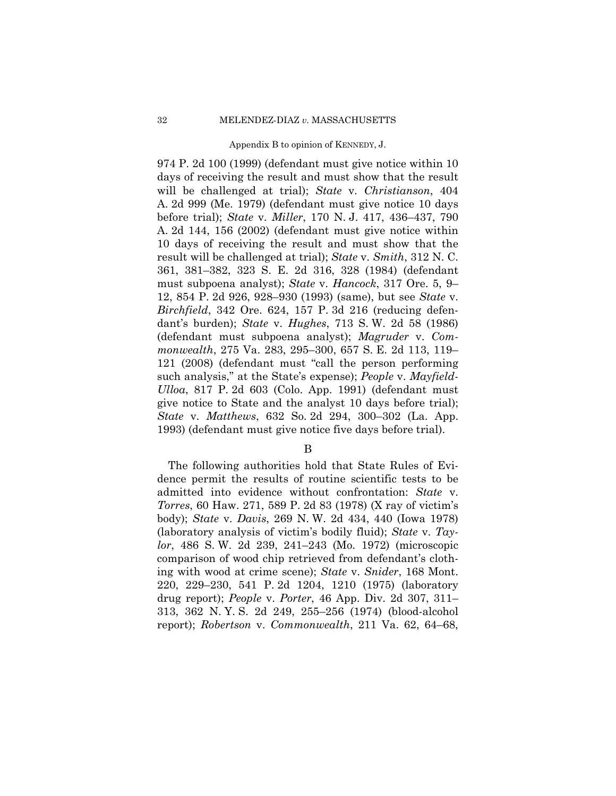974 P. 2d 100 (1999) (defendant must give notice within 10 days of receiving the result and must show that the result will be challenged at trial); *State* v. *Christianson*, 404 A. 2d 999 (Me. 1979) (defendant must give notice 10 days before trial); *State* v. *Miller*, 170 N. J. 417, 436–437, 790 A. 2d 144, 156 (2002) (defendant must give notice within 10 days of receiving the result and must show that the result will be challenged at trial); *State* v. *Smith*, 312 N. C. 361, 381–382, 323 S. E. 2d 316, 328 (1984) (defendant must subpoena analyst); *State* v. *Hancock*, 317 Ore. 5, 9– 12, 854 P. 2d 926, 928–930 (1993) (same), but see *State* v. *Birchfield*, 342 Ore. 624, 157 P. 3d 216 (reducing defendant's burden); *State* v. *Hughes*, 713 S. W. 2d 58 (1986) (defendant must subpoena analyst); *Magruder* v. *Commonwealth*, 275 Va. 283, 295–300, 657 S. E. 2d 113, 119– 121 (2008) (defendant must "call the person performing such analysis," at the State's expense); *People* v. *Mayfield-Ulloa*, 817 P. 2d 603 (Colo. App. 1991) (defendant must give notice to State and the analyst 10 days before trial); *State* v. *Matthews*, 632 So. 2d 294, 300–302 (La. App. 1993) (defendant must give notice five days before trial).

## B

The following authorities hold that State Rules of Evidence permit the results of routine scientific tests to be admitted into evidence without confrontation: *State* v. *Torres*, 60 Haw. 271, 589 P. 2d 83 (1978) (X ray of victim's body); *State* v. *Davis*, 269 N. W. 2d 434, 440 (Iowa 1978) (laboratory analysis of victim's bodily fluid); *State* v. *Taylor*, 486 S. W. 2d 239, 241–243 (Mo. 1972) (microscopic comparison of wood chip retrieved from defendant's clothing with wood at crime scene); *State* v. *Snider*, 168 Mont. 220, 229–230, 541 P. 2d 1204, 1210 (1975) (laboratory drug report); *People* v. *Porter*, 46 App. Div. 2d 307, 311– 313, 362 N. Y. S. 2d 249, 255–256 (1974) (blood-alcohol report); *Robertson* v. *Commonwealth*, 211 Va. 62, 64–68,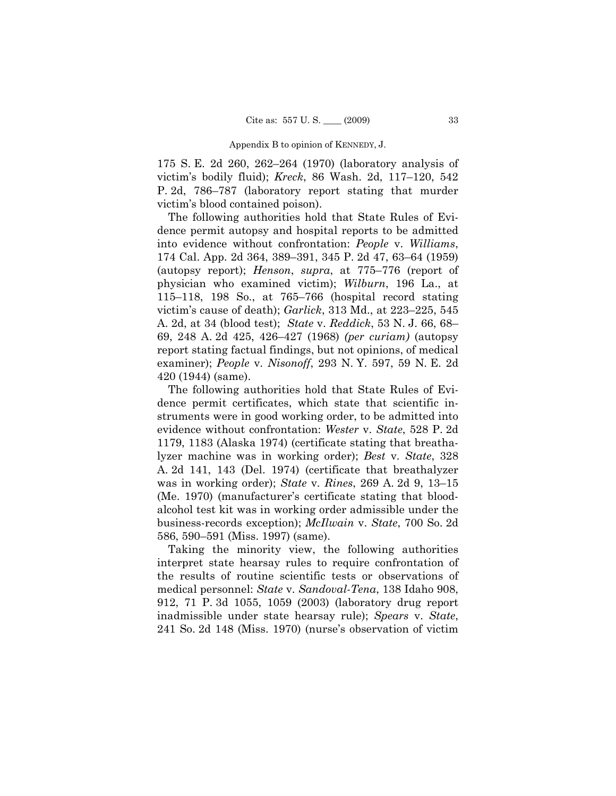175 S. E. 2d 260, 262–264 (1970) (laboratory analysis of victim's bodily fluid); *Kreck*, 86 Wash. 2d, 117–120, 542 P. 2d, 786–787 (laboratory report stating that murder victim's blood contained poison).

The following authorities hold that State Rules of Evidence permit autopsy and hospital reports to be admitted into evidence without confrontation: *People* v. *Williams*, 174 Cal. App. 2d 364, 389–391, 345 P. 2d 47, 63–64 (1959) (autopsy report); *Henson*, *supra*, at 775–776 (report of physician who examined victim); *Wilburn*, 196 La., at 115–118, 198 So., at 765–766 (hospital record stating victim's cause of death); *Garlick*, 313 Md., at 223–225, 545 A. 2d, at 34 (blood test); *State* v. *Reddick*, 53 N. J. 66, 68– 69, 248 A. 2d 425, 426–427 (1968) *(per curiam)* (autopsy report stating factual findings, but not opinions, of medical examiner); *People* v. *Nisonoff*, 293 N. Y. 597, 59 N. E. 2d 420 (1944) (same).

The following authorities hold that State Rules of Evidence permit certificates, which state that scientific instruments were in good working order, to be admitted into evidence without confrontation: *Wester* v. *State*, 528 P. 2d 1179, 1183 (Alaska 1974) (certificate stating that breathalyzer machine was in working order); *Best* v. *State*, 328 A. 2d 141, 143 (Del. 1974) (certificate that breathalyzer was in working order); *State* v. *Rines*, 269 A. 2d 9, 13–15 (Me. 1970) (manufacturer's certificate stating that bloodalcohol test kit was in working order admissible under the business-records exception); *McIlwain* v. *State*, 700 So. 2d 586, 590–591 (Miss. 1997) (same).

Taking the minority view, the following authorities interpret state hearsay rules to require confrontation of the results of routine scientific tests or observations of medical personnel: *State* v. *Sandoval-Tena*, 138 Idaho 908, 912, 71 P. 3d 1055, 1059 (2003) (laboratory drug report inadmissible under state hearsay rule); *Spears* v. *State*, 241 So. 2d 148 (Miss. 1970) (nurse's observation of victim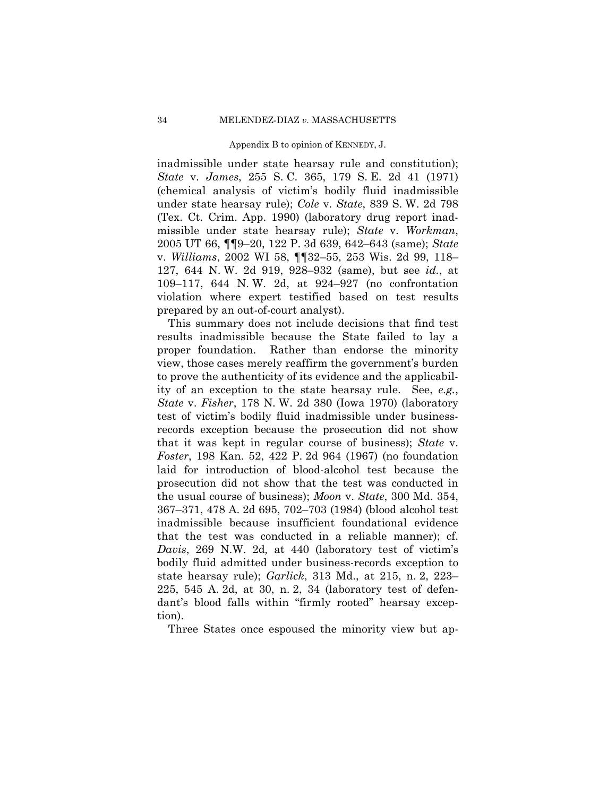inadmissible under state hearsay rule and constitution); *State* v. *James*, 255 S. C. 365, 179 S. E. 2d 41 (1971) (chemical analysis of victim's bodily fluid inadmissible under state hearsay rule); *Cole* v. *State*, 839 S. W. 2d 798 (Tex. Ct. Crim. App. 1990) (laboratory drug report inadmissible under state hearsay rule); *State* v. *Workman*, 2005 UT 66, ¶¶9–20, 122 P. 3d 639, 642–643 (same); *State*  v. *Williams*, 2002 WI 58, ¶¶32–55, 253 Wis. 2d 99, 118– 127, 644 N. W. 2d 919, 928–932 (same), but see *id.*, at 109–117, 644 N. W. 2d, at 924–927 (no confrontation violation where expert testified based on test results prepared by an out-of-court analyst).

This summary does not include decisions that find test results inadmissible because the State failed to lay a proper foundation. Rather than endorse the minority view, those cases merely reaffirm the government's burden to prove the authenticity of its evidence and the applicability of an exception to the state hearsay rule. See, *e.g.*, *State* v. *Fisher*, 178 N. W. 2d 380 (Iowa 1970) (laboratory test of victim's bodily fluid inadmissible under businessrecords exception because the prosecution did not show that it was kept in regular course of business); *State* v. *Foster*, 198 Kan. 52, 422 P. 2d 964 (1967) (no foundation laid for introduction of blood-alcohol test because the prosecution did not show that the test was conducted in the usual course of business); *Moon* v. *State*, 300 Md. 354, 367–371, 478 A. 2d 695, 702–703 (1984) (blood alcohol test inadmissible because insufficient foundational evidence that the test was conducted in a reliable manner); cf. *Davis*, 269 N.W. 2d*,* at 440 (laboratory test of victim's bodily fluid admitted under business-records exception to state hearsay rule); *Garlick*, 313 Md., at 215, n. 2, 223– 225, 545 A. 2d, at 30, n. 2, 34 (laboratory test of defendant's blood falls within "firmly rooted" hearsay exception).

Three States once espoused the minority view but ap